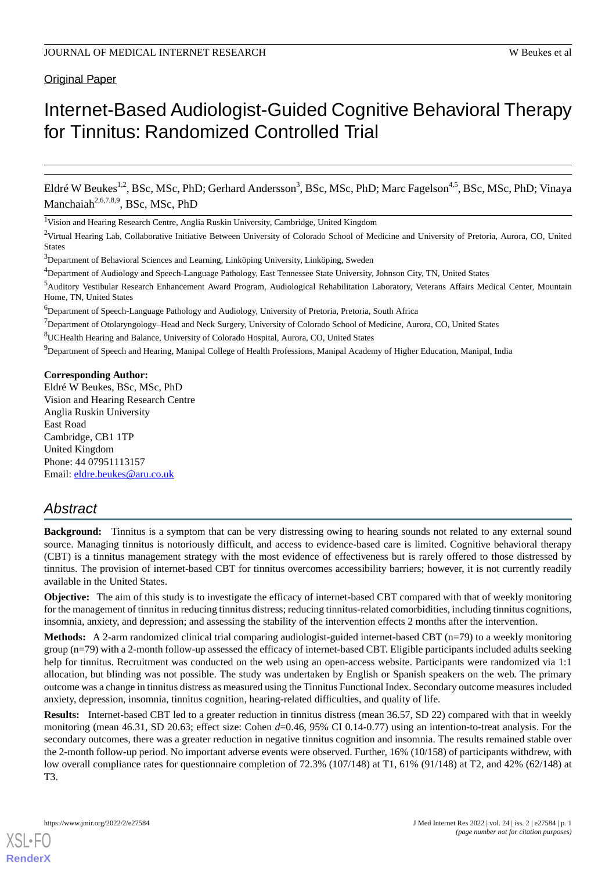# **Original Paper**

# Internet-Based Audiologist-Guided Cognitive Behavioral Therapy for Tinnitus: Randomized Controlled Trial

Eldré W Beukes<sup>1,2</sup>, BSc, MSc, PhD; Gerhard Andersson<sup>3</sup>, BSc, MSc, PhD; Marc Fagelson<sup>4,5</sup>, BSc, MSc, PhD; Vinaya Manchaiah<sup>2,6,7,8,9</sup>, BSc, MSc, PhD

<sup>1</sup>Vision and Hearing Research Centre, Anglia Ruskin University, Cambridge, United Kingdom

<sup>2</sup>Virtual Hearing Lab, Collaborative Initiative Between University of Colorado School of Medicine and University of Pretoria, Aurora, CO, United States

<sup>9</sup>Department of Speech and Hearing, Manipal College of Health Professions, Manipal Academy of Higher Education, Manipal, India

#### **Corresponding Author:**

Eldré W Beukes, BSc, MSc, PhD Vision and Hearing Research Centre Anglia Ruskin University East Road Cambridge, CB1 1TP United Kingdom Phone: 44 07951113157 Email: [eldre.beukes@aru.co.uk](mailto:eldre.beukes@aru.co.uk)

# *Abstract*

**Background:** Tinnitus is a symptom that can be very distressing owing to hearing sounds not related to any external sound source. Managing tinnitus is notoriously difficult, and access to evidence-based care is limited. Cognitive behavioral therapy (CBT) is a tinnitus management strategy with the most evidence of effectiveness but is rarely offered to those distressed by tinnitus. The provision of internet-based CBT for tinnitus overcomes accessibility barriers; however, it is not currently readily available in the United States.

**Objective:** The aim of this study is to investigate the efficacy of internet-based CBT compared with that of weekly monitoring for the management of tinnitus in reducing tinnitus distress; reducing tinnitus-related comorbidities, including tinnitus cognitions, insomnia, anxiety, and depression; and assessing the stability of the intervention effects 2 months after the intervention.

**Methods:** A 2-arm randomized clinical trial comparing audiologist-guided internet-based CBT (n=79) to a weekly monitoring group (n=79) with a 2-month follow-up assessed the efficacy of internet-based CBT. Eligible participants included adults seeking help for tinnitus. Recruitment was conducted on the web using an open-access website. Participants were randomized via 1:1 allocation, but blinding was not possible. The study was undertaken by English or Spanish speakers on the web. The primary outcome was a change in tinnitus distress as measured using the Tinnitus Functional Index. Secondary outcome measures included anxiety, depression, insomnia, tinnitus cognition, hearing-related difficulties, and quality of life.

**Results:** Internet-based CBT led to a greater reduction in tinnitus distress (mean 36.57, SD 22) compared with that in weekly monitoring (mean 46.31, SD 20.63; effect size: Cohen  $d=0.46$ , 95% CI 0.14-0.77) using an intention-to-treat analysis. For the secondary outcomes, there was a greater reduction in negative tinnitus cognition and insomnia. The results remained stable over the 2-month follow-up period. No important adverse events were observed. Further, 16% (10/158) of participants withdrew, with low overall compliance rates for questionnaire completion of 72.3% (107/148) at T1, 61% (91/148) at T2, and 42% (62/148) at T3.

<sup>&</sup>lt;sup>3</sup>Department of Behavioral Sciences and Learning, Linköping University, Linköping, Sweden

<sup>4</sup>Department of Audiology and Speech-Language Pathology, East Tennessee State University, Johnson City, TN, United States

<sup>5</sup>Auditory Vestibular Research Enhancement Award Program, Audiological Rehabilitation Laboratory, Veterans Affairs Medical Center, Mountain Home, TN, United States

<sup>6</sup>Department of Speech-Language Pathology and Audiology, University of Pretoria, Pretoria, South Africa

 $<sup>7</sup>$ Department of Otolaryngology–Head and Neck Surgery, University of Colorado School of Medicine, Aurora, CO, United States</sup>

<sup>8</sup>UCHealth Hearing and Balance, University of Colorado Hospital, Aurora, CO, United States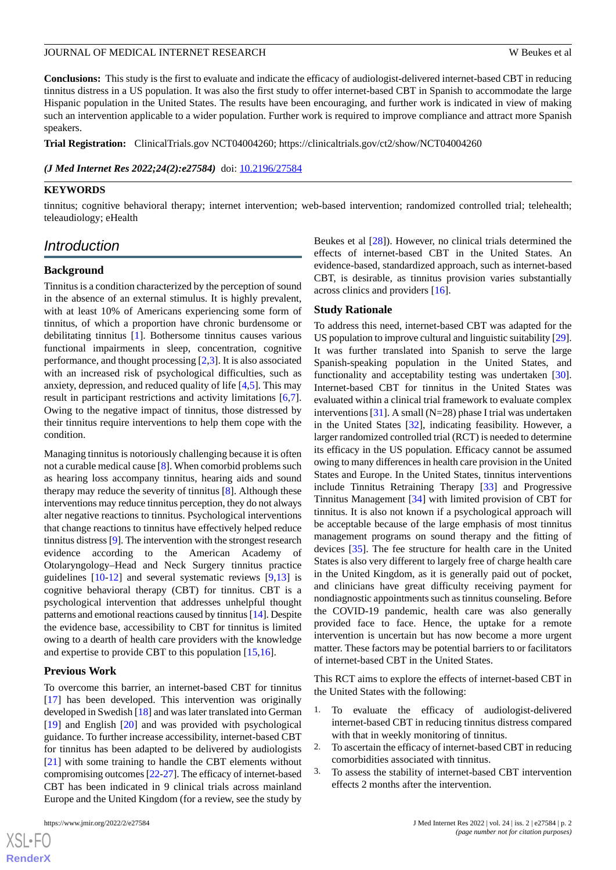**Conclusions:** This study is the first to evaluate and indicate the efficacy of audiologist-delivered internet-based CBT in reducing tinnitus distress in a US population. It was also the first study to offer internet-based CBT in Spanish to accommodate the large Hispanic population in the United States. The results have been encouraging, and further work is indicated in view of making such an intervention applicable to a wider population. Further work is required to improve compliance and attract more Spanish speakers.

**Trial Registration:** ClinicalTrials.gov NCT04004260; https://clinicaltrials.gov/ct2/show/NCT04004260

*(J Med Internet Res 2022;24(2):e27584)* doi:  $10.2196/27584$ 

## **KEYWORDS**

tinnitus; cognitive behavioral therapy; internet intervention; web-based intervention; randomized controlled trial; telehealth; teleaudiology; eHealth

# *Introduction*

#### **Background**

Tinnitus is a condition characterized by the perception of sound in the absence of an external stimulus. It is highly prevalent, with at least 10% of Americans experiencing some form of tinnitus, of which a proportion have chronic burdensome or debilitating tinnitus [\[1](#page-14-0)]. Bothersome tinnitus causes various functional impairments in sleep, concentration, cognitive performance, and thought processing [[2](#page-14-1)[,3\]](#page-14-2). It is also associated with an increased risk of psychological difficulties, such as anxiety, depression, and reduced quality of life [[4](#page-15-0)[,5](#page-15-1)]. This may result in participant restrictions and activity limitations [\[6](#page-15-2),[7\]](#page-15-3). Owing to the negative impact of tinnitus, those distressed by their tinnitus require interventions to help them cope with the condition.

Managing tinnitus is notoriously challenging because it is often not a curable medical cause [[8\]](#page-15-4). When comorbid problems such as hearing loss accompany tinnitus, hearing aids and sound therapy may reduce the severity of tinnitus [[8\]](#page-15-4). Although these interventions may reduce tinnitus perception, they do not always alter negative reactions to tinnitus. Psychological interventions that change reactions to tinnitus have effectively helped reduce tinnitus distress [[9\]](#page-15-5). The intervention with the strongest research evidence according to the American Academy of Otolaryngology–Head and Neck Surgery tinnitus practice guidelines [[10-](#page-15-6)[12\]](#page-15-7) and several systematic reviews [[9,](#page-15-5)[13](#page-15-8)] is cognitive behavioral therapy (CBT) for tinnitus. CBT is a psychological intervention that addresses unhelpful thought patterns and emotional reactions caused by tinnitus [\[14](#page-15-9)]. Despite the evidence base, accessibility to CBT for tinnitus is limited owing to a dearth of health care providers with the knowledge and expertise to provide CBT to this population [[15](#page-15-10)[,16](#page-15-11)].

#### **Previous Work**

To overcome this barrier, an internet-based CBT for tinnitus [[17\]](#page-15-12) has been developed. This intervention was originally developed in Swedish [\[18](#page-15-13)] and was later translated into German [[19\]](#page-15-14) and English [[20\]](#page-15-15) and was provided with psychological guidance. To further increase accessibility, internet-based CBT for tinnitus has been adapted to be delivered by audiologists [[21\]](#page-15-16) with some training to handle the CBT elements without compromising outcomes [[22](#page-15-17)-[27\]](#page-16-0). The efficacy of internet-based CBT has been indicated in 9 clinical trials across mainland Europe and the United Kingdom (for a review, see the study by

Beukes et al [\[28](#page-16-1)]). However, no clinical trials determined the effects of internet-based CBT in the United States. An evidence-based, standardized approach, such as internet-based CBT, is desirable, as tinnitus provision varies substantially across clinics and providers [\[16](#page-15-11)].

#### **Study Rationale**

To address this need, internet-based CBT was adapted for the US population to improve cultural and linguistic suitability [\[29](#page-16-2)]. It was further translated into Spanish to serve the large Spanish-speaking population in the United States, and functionality and acceptability testing was undertaken [[30\]](#page-16-3). Internet-based CBT for tinnitus in the United States was evaluated within a clinical trial framework to evaluate complex interventions [[31\]](#page-16-4). A small (N=28) phase I trial was undertaken in the United States [\[32](#page-16-5)], indicating feasibility. However, a larger randomized controlled trial (RCT) is needed to determine its efficacy in the US population. Efficacy cannot be assumed owing to many differences in health care provision in the United States and Europe. In the United States, tinnitus interventions include Tinnitus Retraining Therapy [\[33](#page-16-6)] and Progressive Tinnitus Management [\[34](#page-16-7)] with limited provision of CBT for tinnitus. It is also not known if a psychological approach will be acceptable because of the large emphasis of most tinnitus management programs on sound therapy and the fitting of devices [\[35](#page-16-8)]. The fee structure for health care in the United States is also very different to largely free of charge health care in the United Kingdom, as it is generally paid out of pocket, and clinicians have great difficulty receiving payment for nondiagnostic appointments such as tinnitus counseling. Before the COVID-19 pandemic, health care was also generally provided face to face. Hence, the uptake for a remote intervention is uncertain but has now become a more urgent matter. These factors may be potential barriers to or facilitators of internet-based CBT in the United States.

This RCT aims to explore the effects of internet-based CBT in the United States with the following:

- 1. To evaluate the efficacy of audiologist-delivered internet-based CBT in reducing tinnitus distress compared with that in weekly monitoring of tinnitus.
- 2. To ascertain the efficacy of internet-based CBT in reducing comorbidities associated with tinnitus.
- 3. To assess the stability of internet-based CBT intervention effects 2 months after the intervention.

```
XSL•FO
RenderX
```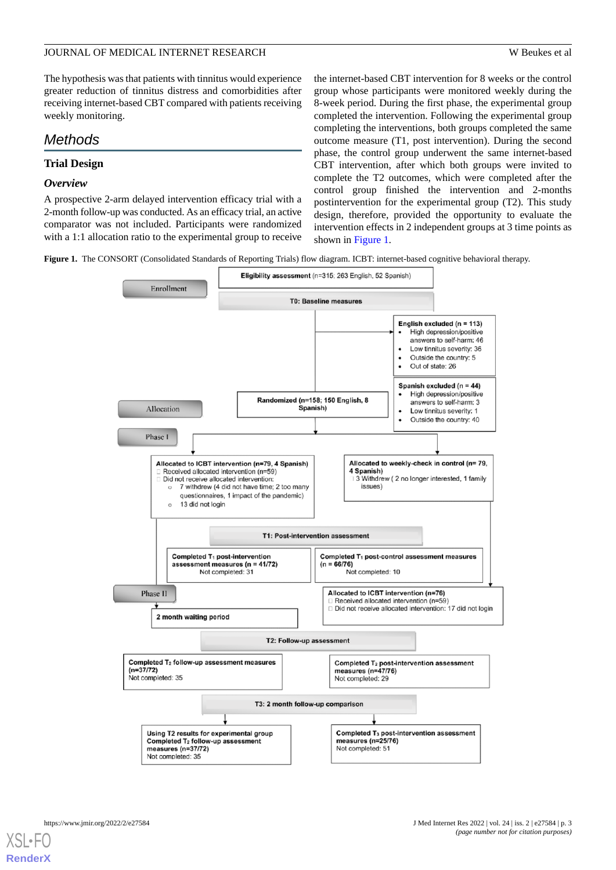The hypothesis was that patients with tinnitus would experience greater reduction of tinnitus distress and comorbidities after receiving internet-based CBT compared with patients receiving weekly monitoring.

# *Methods*

# **Trial Design**

## *Overview*

A prospective 2-arm delayed intervention efficacy trial with a 2-month follow-up was conducted. As an efficacy trial, an active comparator was not included. Participants were randomized with a 1:1 allocation ratio to the experimental group to receive the internet-based CBT intervention for 8 weeks or the control group whose participants were monitored weekly during the 8-week period. During the first phase, the experimental group completed the intervention. Following the experimental group completing the interventions, both groups completed the same outcome measure (T1, post intervention). During the second phase, the control group underwent the same internet-based CBT intervention, after which both groups were invited to complete the T2 outcomes, which were completed after the control group finished the intervention and 2-months postintervention for the experimental group (T2). This study design, therefore, provided the opportunity to evaluate the intervention effects in 2 independent groups at 3 time points as shown in [Figure 1.](#page-2-0)

<span id="page-2-0"></span>**Figure 1.** The CONSORT (Consolidated Standards of Reporting Trials) flow diagram. ICBT: internet-based cognitive behavioral therapy.



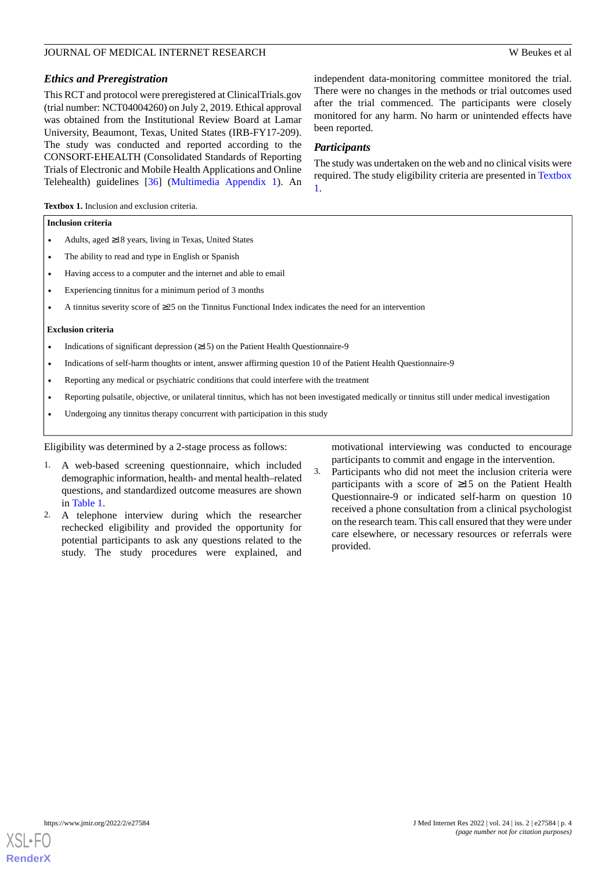## *Ethics and Preregistration*

This RCT and protocol were preregistered at ClinicalTrials.gov (trial number: NCT04004260) on July 2, 2019. Ethical approval was obtained from the Institutional Review Board at Lamar University, Beaumont, Texas, United States (IRB-FY17-209). The study was conducted and reported according to the CONSORT-EHEALTH (Consolidated Standards of Reporting Trials of Electronic and Mobile Health Applications and Online Telehealth) guidelines [\[36](#page-16-9)] ([Multimedia Appendix 1\)](#page-14-3). An

independent data-monitoring committee monitored the trial. There were no changes in the methods or trial outcomes used after the trial commenced. The participants were closely monitored for any harm. No harm or unintended effects have been reported.

## *Participants*

The study was undertaken on the web and no clinical visits were required. The study eligibility criteria are presented in [Textbox](#page-3-0) [1.](#page-3-0)

<span id="page-3-0"></span>**Textbox 1.** Inclusion and exclusion criteria.

#### **Inclusion criteria**

- Adults, aged ≥18 years, living in Texas, United States
- The ability to read and type in English or Spanish
- Having access to a computer and the internet and able to email
- Experiencing tinnitus for a minimum period of 3 months
- A tinnitus severity score of ≥25 on the Tinnitus Functional Index indicates the need for an intervention

#### **Exclusion criteria**

- Indications of significant depression  $(≥15)$  on the Patient Health Questionnaire-9
- Indications of self-harm thoughts or intent, answer affirming question 10 of the Patient Health Questionnaire-9
- Reporting any medical or psychiatric conditions that could interfere with the treatment
- Reporting pulsatile, objective, or unilateral tinnitus, which has not been investigated medically or tinnitus still under medical investigation
- Undergoing any tinnitus therapy concurrent with participation in this study

## Eligibility was determined by a 2-stage process as follows:

- 1. A web-based screening questionnaire, which included demographic information, health- and mental health–related questions, and standardized outcome measures are shown in [Table 1](#page-4-0).
- 2. A telephone interview during which the researcher rechecked eligibility and provided the opportunity for potential participants to ask any questions related to the study. The study procedures were explained, and

motivational interviewing was conducted to encourage participants to commit and engage in the intervention.

3. Participants who did not meet the inclusion criteria were participants with a score of ≥15 on the Patient Health Questionnaire-9 or indicated self-harm on question 10 received a phone consultation from a clinical psychologist on the research team. This call ensured that they were under care elsewhere, or necessary resources or referrals were provided.

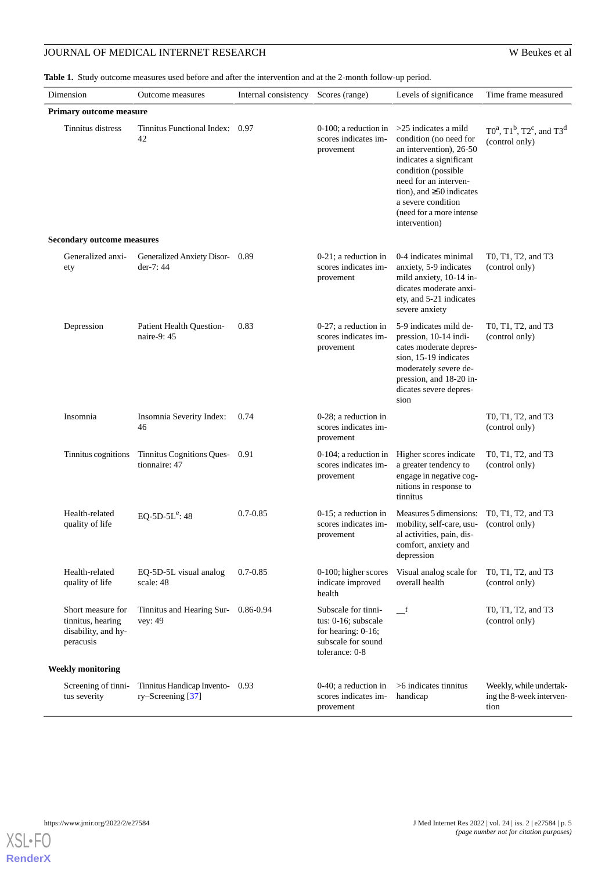<span id="page-4-0"></span>**Table 1.** Study outcome measures used before and after the intervention and at the 2-month follow-up period.

| Dimension                                                                  | Outcome measures                                    | Internal consistency | Scores (range)                                                                                           | Levels of significance                                                                                                                                                                                                                                      | Time frame measured                                         |  |  |
|----------------------------------------------------------------------------|-----------------------------------------------------|----------------------|----------------------------------------------------------------------------------------------------------|-------------------------------------------------------------------------------------------------------------------------------------------------------------------------------------------------------------------------------------------------------------|-------------------------------------------------------------|--|--|
| <b>Primary outcome measure</b>                                             |                                                     |                      |                                                                                                          |                                                                                                                                                                                                                                                             |                                                             |  |  |
| Tinnitus distress                                                          | Tinnitus Functional Index: 0.97<br>42               |                      | 0-100; a reduction in<br>scores indicates im-<br>provement                                               | $>25$ indicates a mild<br>condition (no need for<br>an intervention), 26-50<br>indicates a significant<br>condition (possible<br>need for an interven-<br>tion), and $\geq$ 50 indicates<br>a severe condition<br>(need for a more intense<br>intervention) | $T0^a$ , $T1^b$ , $T2^c$ , and $T3^d$<br>(control only)     |  |  |
| <b>Secondary outcome measures</b>                                          |                                                     |                      |                                                                                                          |                                                                                                                                                                                                                                                             |                                                             |  |  |
| Generalized anxi-<br>ety                                                   | Generalized Anxiety Disor-0.89<br>der-7:44          |                      | $0-21$ ; a reduction in<br>scores indicates im-<br>provement                                             | 0-4 indicates minimal<br>anxiety, 5-9 indicates<br>mild anxiety, 10-14 in-<br>dicates moderate anxi-<br>ety, and 5-21 indicates<br>severe anxiety                                                                                                           | T0, T1, T2, and T3<br>(control only)                        |  |  |
| Depression                                                                 | Patient Health Question-<br>naire-9: 45             | 0.83                 | $0-27$ ; a reduction in<br>scores indicates im-<br>provement                                             | 5-9 indicates mild de-<br>pression, 10-14 indi-<br>cates moderate depres-<br>sion, 15-19 indicates<br>moderately severe de-<br>pression, and 18-20 in-<br>dicates severe depres-<br>sion                                                                    | T0, T1, T2, and T3<br>(control only)                        |  |  |
| Insomnia                                                                   | Insomnia Severity Index:<br>46                      | 0.74                 | 0-28; a reduction in<br>scores indicates im-<br>provement                                                |                                                                                                                                                                                                                                                             | T0, T1, T2, and T3<br>(control only)                        |  |  |
| Tinnitus cognitions                                                        | Tinnitus Cognitions Ques-0.91<br>tionnaire: 47      |                      | $0-104$ ; a reduction in<br>scores indicates im-<br>provement                                            | Higher scores indicate<br>a greater tendency to<br>engage in negative cog-<br>nitions in response to<br>tinnitus                                                                                                                                            | T0, T1, T2, and T3<br>(control only)                        |  |  |
| Health-related<br>quality of life                                          | EQ-5D- $5L^e$ : 48                                  | $0.7 - 0.85$         | $0-15$ ; a reduction in<br>scores indicates im-<br>provement                                             | Measures 5 dimensions:<br>mobility, self-care, usu-<br>al activities, pain, dis-<br>comfort, anxiety and<br>depression                                                                                                                                      | T0, T1, T2, and T3<br>(control only)                        |  |  |
| Health-related<br>quality of life                                          | EQ-5D-5L visual analog<br>scale: 48                 | $0.7 - 0.85$         | 0-100; higher scores<br>indicate improved<br>health                                                      | Visual analog scale for<br>overall health                                                                                                                                                                                                                   | T0, T1, T2, and T3<br>(control only)                        |  |  |
| Short measure for<br>tinnitus, hearing<br>disability, and hy-<br>peracusis | Tinnitus and Hearing Sur-<br>vey: 49                | 0.86-0.94            | Subscale for tinni-<br>tus: 0-16; subscale<br>for hearing: 0-16;<br>subscale for sound<br>tolerance: 0-8 | $\mathbf{f}$                                                                                                                                                                                                                                                | T0, T1, T2, and T3<br>(control only)                        |  |  |
| <b>Weekly monitoring</b>                                                   |                                                     |                      |                                                                                                          |                                                                                                                                                                                                                                                             |                                                             |  |  |
| Screening of tinni-<br>tus severity                                        | Tinnitus Handicap Invento-0.93<br>ry-Screening [37] |                      | $0-40$ ; a reduction in<br>scores indicates im-<br>provement                                             | $>6$ indicates tinnitus<br>handicap                                                                                                                                                                                                                         | Weekly, while undertak-<br>ing the 8-week interven-<br>tion |  |  |

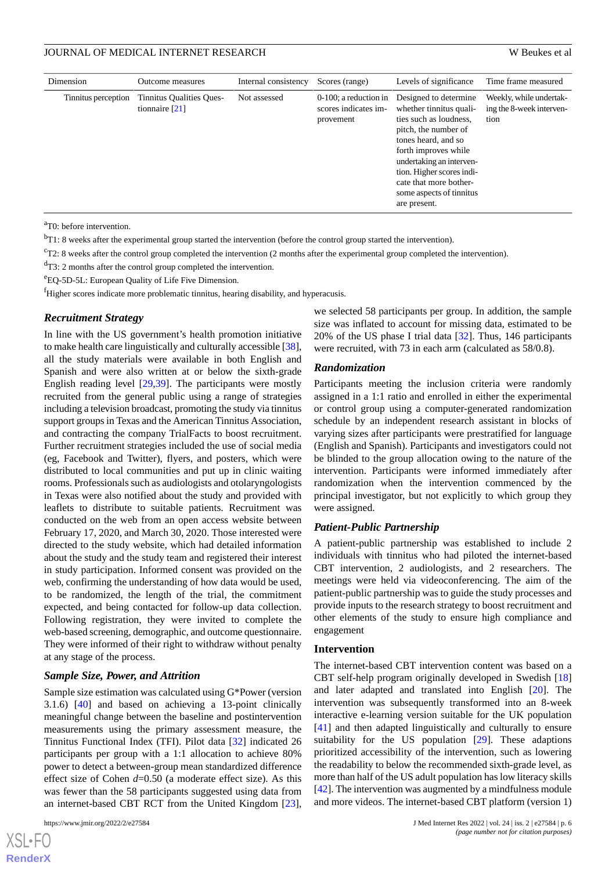| Dimension           | Outcome measures                             | Internal consistency | Scores (range)                                                | Levels of significance                                                                                                                                                                                                                                                           | Time frame measured                                         |
|---------------------|----------------------------------------------|----------------------|---------------------------------------------------------------|----------------------------------------------------------------------------------------------------------------------------------------------------------------------------------------------------------------------------------------------------------------------------------|-------------------------------------------------------------|
| Tinnitus perception | Tinnitus Qualities Ques-<br>tionnaire $[21]$ | Not assessed         | $0-100$ ; a reduction in<br>scores indicates im-<br>provement | Designed to determine<br>whether tinnitus quali-<br>ties such as loudness,<br>pitch, the number of<br>tones heard, and so<br>forth improves while<br>undertaking an interven-<br>tion. Higher scores indi-<br>cate that more bother-<br>some aspects of tinnitus<br>are present. | Weekly, while undertak-<br>ing the 8-week interven-<br>tion |

<sup>a</sup>T0: before intervention.

 $<sup>b</sup>T1: 8$  weeks after the experimental group started the intervention (before the control group started the intervention).</sup>

 $c$ T2: 8 weeks after the control group completed the intervention (2 months after the experimental group completed the intervention).

<sup>d</sup>T3: 2 months after the control group completed the intervention.

<sup>e</sup>EQ-5D-5L: European Quality of Life Five Dimension.

<sup>f</sup>Higher scores indicate more problematic tinnitus, hearing disability, and hyperacusis.

#### *Recruitment Strategy*

In line with the US government's health promotion initiative to make health care linguistically and culturally accessible [[38\]](#page-16-11), all the study materials were available in both English and Spanish and were also written at or below the sixth-grade English reading level [[29](#page-16-2)[,39](#page-16-12)]. The participants were mostly recruited from the general public using a range of strategies including a television broadcast, promoting the study via tinnitus support groups in Texas and the American Tinnitus Association, and contracting the company TrialFacts to boost recruitment. Further recruitment strategies included the use of social media (eg, Facebook and Twitter), flyers, and posters, which were distributed to local communities and put up in clinic waiting rooms. Professionals such as audiologists and otolaryngologists in Texas were also notified about the study and provided with leaflets to distribute to suitable patients. Recruitment was conducted on the web from an open access website between February 17, 2020, and March 30, 2020. Those interested were directed to the study website, which had detailed information about the study and the study team and registered their interest in study participation. Informed consent was provided on the web, confirming the understanding of how data would be used, to be randomized, the length of the trial, the commitment expected, and being contacted for follow-up data collection. Following registration, they were invited to complete the web-based screening, demographic, and outcome questionnaire. They were informed of their right to withdraw without penalty at any stage of the process.

#### *Sample Size, Power, and Attrition*

Sample size estimation was calculated using G\*Power (version 3.1.6) [\[40](#page-16-13)] and based on achieving a 13-point clinically meaningful change between the baseline and postintervention measurements using the primary assessment measure, the Tinnitus Functional Index (TFI). Pilot data [[32\]](#page-16-5) indicated 26 participants per group with a 1:1 allocation to achieve 80% power to detect a between-group mean standardized difference effect size of Cohen *d*=0.50 (a moderate effect size). As this was fewer than the 58 participants suggested using data from an internet-based CBT RCT from the United Kingdom [[23\]](#page-15-18),

we selected 58 participants per group. In addition, the sample size was inflated to account for missing data, estimated to be 20% of the US phase I trial data [\[32](#page-16-5)]. Thus, 146 participants were recruited, with 73 in each arm (calculated as 58/0.8).

#### *Randomization*

Participants meeting the inclusion criteria were randomly assigned in a 1:1 ratio and enrolled in either the experimental or control group using a computer-generated randomization schedule by an independent research assistant in blocks of varying sizes after participants were prestratified for language (English and Spanish). Participants and investigators could not be blinded to the group allocation owing to the nature of the intervention. Participants were informed immediately after randomization when the intervention commenced by the principal investigator, but not explicitly to which group they were assigned.

#### *Patient-Public Partnership*

A patient-public partnership was established to include 2 individuals with tinnitus who had piloted the internet-based CBT intervention, 2 audiologists, and 2 researchers. The meetings were held via videoconferencing. The aim of the patient-public partnership was to guide the study processes and provide inputs to the research strategy to boost recruitment and other elements of the study to ensure high compliance and engagement

## **Intervention**

The internet-based CBT intervention content was based on a CBT self-help program originally developed in Swedish [\[18](#page-15-13)] and later adapted and translated into English [[20\]](#page-15-15). The intervention was subsequently transformed into an 8-week interactive e-learning version suitable for the UK population [[41\]](#page-16-14) and then adapted linguistically and culturally to ensure suitability for the US population [[29\]](#page-16-2). These adaptions prioritized accessibility of the intervention, such as lowering the readability to below the recommended sixth-grade level, as more than half of the US adult population has low literacy skills [[42\]](#page-16-15). The intervention was augmented by a mindfulness module and more videos. The internet-based CBT platform (version 1)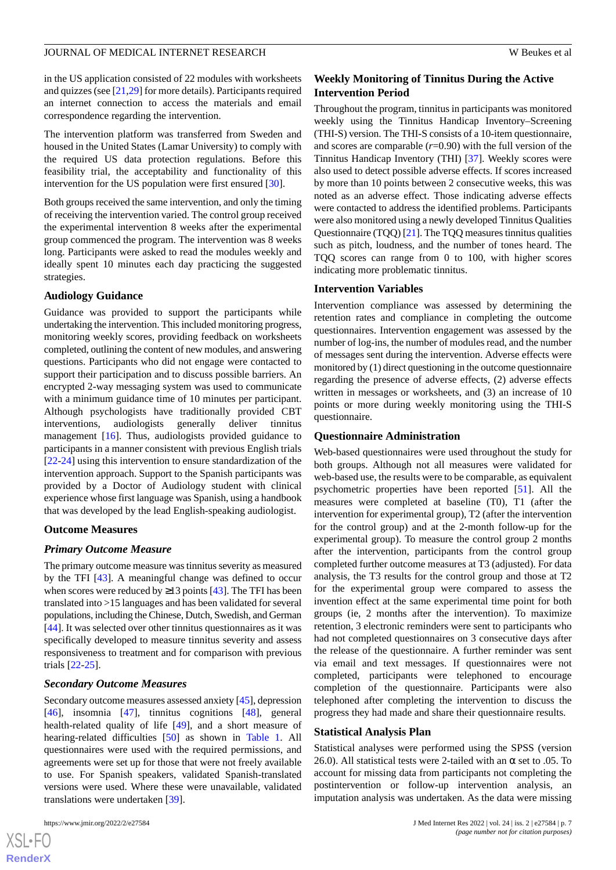in the US application consisted of 22 modules with worksheets and quizzes (see [[21](#page-15-16)[,29](#page-16-2)] for more details). Participants required an internet connection to access the materials and email correspondence regarding the intervention.

The intervention platform was transferred from Sweden and housed in the United States (Lamar University) to comply with the required US data protection regulations. Before this feasibility trial, the acceptability and functionality of this intervention for the US population were first ensured [[30\]](#page-16-3).

Both groups received the same intervention, and only the timing of receiving the intervention varied. The control group received the experimental intervention 8 weeks after the experimental group commenced the program. The intervention was 8 weeks long. Participants were asked to read the modules weekly and ideally spent 10 minutes each day practicing the suggested strategies.

## **Audiology Guidance**

Guidance was provided to support the participants while undertaking the intervention. This included monitoring progress, monitoring weekly scores, providing feedback on worksheets completed, outlining the content of new modules, and answering questions. Participants who did not engage were contacted to support their participation and to discuss possible barriers. An encrypted 2-way messaging system was used to communicate with a minimum guidance time of 10 minutes per participant. Although psychologists have traditionally provided CBT interventions, audiologists generally deliver tinnitus management [[16\]](#page-15-11). Thus, audiologists provided guidance to participants in a manner consistent with previous English trials [[22](#page-15-17)[-24](#page-15-19)] using this intervention to ensure standardization of the intervention approach. Support to the Spanish participants was provided by a Doctor of Audiology student with clinical experience whose first language was Spanish, using a handbook that was developed by the lead English-speaking audiologist.

#### **Outcome Measures**

#### *Primary Outcome Measure*

The primary outcome measure was tinnitus severity as measured by the TFI [[43\]](#page-16-16). A meaningful change was defined to occur when scores were reduced by  $\geq$ 13 points [[43\]](#page-16-16). The TFI has been translated into >15 languages and has been validated for several populations, including the Chinese, Dutch, Swedish, and German [[44\]](#page-16-17). It was selected over other tinnitus questionnaires as it was specifically developed to measure tinnitus severity and assess responsiveness to treatment and for comparison with previous trials [\[22](#page-15-17)-[25\]](#page-15-20).

#### *Secondary Outcome Measures*

Secondary outcome measures assessed anxiety [[45](#page-16-18)], depression [[46\]](#page-16-19), insomnia [[47\]](#page-16-20), tinnitus cognitions [\[48](#page-16-21)], general health-related quality of life [\[49](#page-17-0)], and a short measure of hearing-related difficulties [\[50](#page-17-1)] as shown in [Table 1.](#page-4-0) All questionnaires were used with the required permissions, and agreements were set up for those that were not freely available to use. For Spanish speakers, validated Spanish-translated versions were used. Where these were unavailable, validated translations were undertaken [\[39](#page-16-12)].

## **Weekly Monitoring of Tinnitus During the Active Intervention Period**

Throughout the program, tinnitus in participants was monitored weekly using the Tinnitus Handicap Inventory–Screening (THI-S) version. The THI-S consists of a 10-item questionnaire, and scores are comparable  $(r=0.90)$  with the full version of the Tinnitus Handicap Inventory (THI) [[37\]](#page-16-10). Weekly scores were also used to detect possible adverse effects. If scores increased by more than 10 points between 2 consecutive weeks, this was noted as an adverse effect. Those indicating adverse effects were contacted to address the identified problems. Participants were also monitored using a newly developed Tinnitus Qualities Questionnaire (TQQ) [[21\]](#page-15-16). The TQQ measures tinnitus qualities such as pitch, loudness, and the number of tones heard. The TQQ scores can range from 0 to 100, with higher scores indicating more problematic tinnitus.

#### **Intervention Variables**

Intervention compliance was assessed by determining the retention rates and compliance in completing the outcome questionnaires. Intervention engagement was assessed by the number of log-ins, the number of modules read, and the number of messages sent during the intervention. Adverse effects were monitored by (1) direct questioning in the outcome questionnaire regarding the presence of adverse effects, (2) adverse effects written in messages or worksheets, and (3) an increase of 10 points or more during weekly monitoring using the THI-S questionnaire.

#### **Questionnaire Administration**

Web-based questionnaires were used throughout the study for both groups. Although not all measures were validated for web-based use, the results were to be comparable, as equivalent psychometric properties have been reported [\[51](#page-17-2)]. All the measures were completed at baseline (T0), T1 (after the intervention for experimental group), T2 (after the intervention for the control group) and at the 2-month follow-up for the experimental group). To measure the control group 2 months after the intervention, participants from the control group completed further outcome measures at T3 (adjusted). For data analysis, the T3 results for the control group and those at T2 for the experimental group were compared to assess the invention effect at the same experimental time point for both groups (ie, 2 months after the intervention). To maximize retention, 3 electronic reminders were sent to participants who had not completed questionnaires on 3 consecutive days after the release of the questionnaire. A further reminder was sent via email and text messages. If questionnaires were not completed, participants were telephoned to encourage completion of the questionnaire. Participants were also telephoned after completing the intervention to discuss the progress they had made and share their questionnaire results.

#### **Statistical Analysis Plan**

Statistical analyses were performed using the SPSS (version 26.0). All statistical tests were 2-tailed with an  $\alpha$  set to .05. To account for missing data from participants not completing the postintervention or follow-up intervention analysis, an imputation analysis was undertaken. As the data were missing

```
XSL•FO
RenderX
```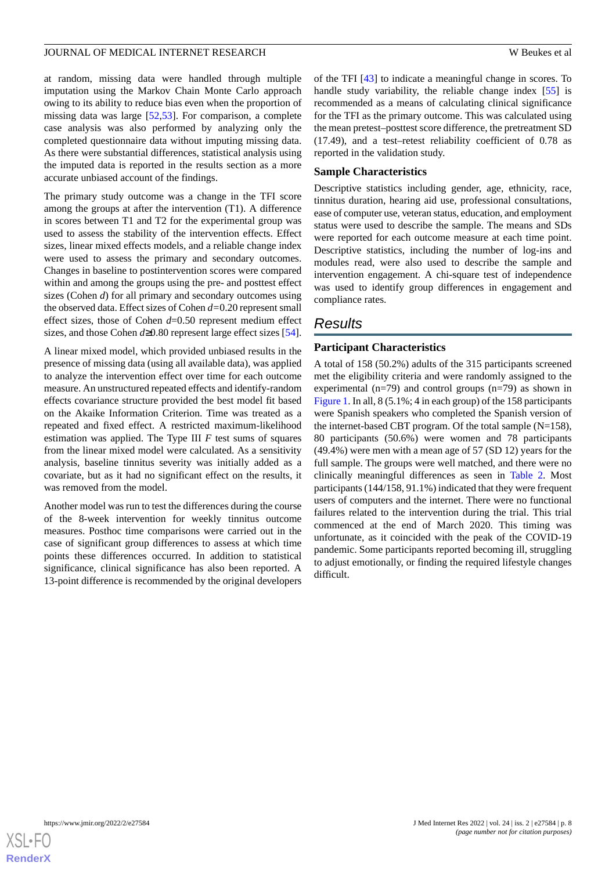at random, missing data were handled through multiple imputation using the Markov Chain Monte Carlo approach owing to its ability to reduce bias even when the proportion of missing data was large [\[52](#page-17-3),[53\]](#page-17-4). For comparison, a complete case analysis was also performed by analyzing only the completed questionnaire data without imputing missing data. As there were substantial differences, statistical analysis using the imputed data is reported in the results section as a more accurate unbiased account of the findings.

The primary study outcome was a change in the TFI score among the groups at after the intervention (T1). A difference in scores between T1 and T2 for the experimental group was used to assess the stability of the intervention effects. Effect sizes, linear mixed effects models, and a reliable change index were used to assess the primary and secondary outcomes. Changes in baseline to postintervention scores were compared within and among the groups using the pre- and posttest effect sizes (Cohen *d*) for all primary and secondary outcomes using the observed data. Effect sizes of Cohen *d=*0.20 represent small effect sizes, those of Cohen *d*=0.50 represent medium effect sizes, and those Cohen *d*≥0.80 represent large effect sizes [[54\]](#page-17-5).

A linear mixed model, which provided unbiased results in the presence of missing data (using all available data), was applied to analyze the intervention effect over time for each outcome measure. An unstructured repeated effects and identify-random effects covariance structure provided the best model fit based on the Akaike Information Criterion. Time was treated as a repeated and fixed effect. A restricted maximum-likelihood estimation was applied. The Type III *F* test sums of squares from the linear mixed model were calculated. As a sensitivity analysis, baseline tinnitus severity was initially added as a covariate, but as it had no significant effect on the results, it was removed from the model.

Another model was run to test the differences during the course of the 8-week intervention for weekly tinnitus outcome measures. Posthoc time comparisons were carried out in the case of significant group differences to assess at which time points these differences occurred. In addition to statistical significance, clinical significance has also been reported. A 13-point difference is recommended by the original developers

of the TFI [[43\]](#page-16-16) to indicate a meaningful change in scores. To handle study variability, the reliable change index [[55\]](#page-17-6) is recommended as a means of calculating clinical significance for the TFI as the primary outcome. This was calculated using the mean pretest–posttest score difference, the pretreatment SD (17.49), and a test–retest reliability coefficient of 0.78 as reported in the validation study.

#### **Sample Characteristics**

Descriptive statistics including gender, age, ethnicity, race, tinnitus duration, hearing aid use, professional consultations, ease of computer use, veteran status, education, and employment status were used to describe the sample. The means and SDs were reported for each outcome measure at each time point. Descriptive statistics, including the number of log-ins and modules read, were also used to describe the sample and intervention engagement. A chi-square test of independence was used to identify group differences in engagement and compliance rates.

# *Results*

## **Participant Characteristics**

A total of 158 (50.2%) adults of the 315 participants screened met the eligibility criteria and were randomly assigned to the experimental ( $n=79$ ) and control groups ( $n=79$ ) as shown in [Figure 1](#page-2-0). In all, 8 (5.1%; 4 in each group) of the 158 participants were Spanish speakers who completed the Spanish version of the internet-based CBT program. Of the total sample  $(N=158)$ , 80 participants (50.6%) were women and 78 participants (49.4%) were men with a mean age of 57 (SD 12) years for the full sample. The groups were well matched, and there were no clinically meaningful differences as seen in [Table 2.](#page-8-0) Most participants (144/158, 91.1%) indicated that they were frequent users of computers and the internet. There were no functional failures related to the intervention during the trial. This trial commenced at the end of March 2020. This timing was unfortunate, as it coincided with the peak of the COVID-19 pandemic. Some participants reported becoming ill, struggling to adjust emotionally, or finding the required lifestyle changes difficult.

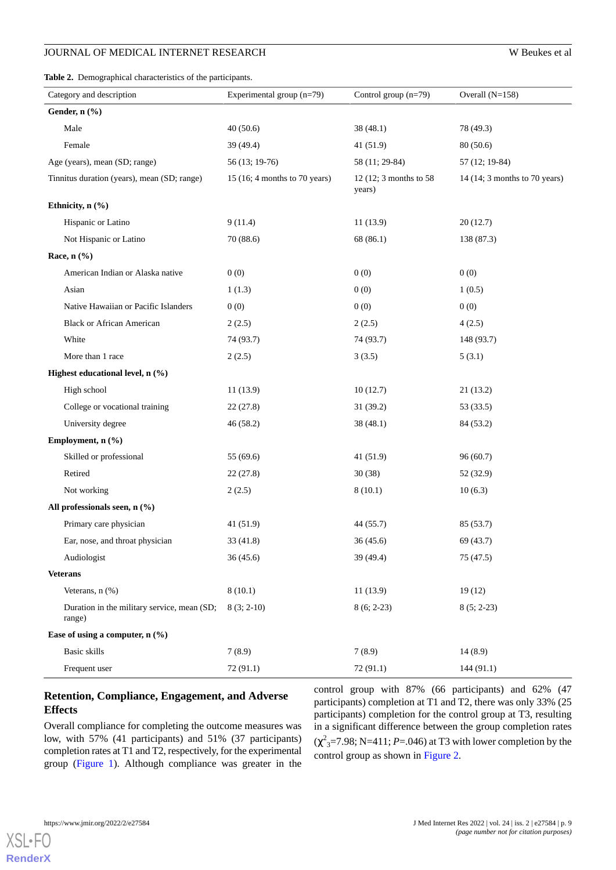<span id="page-8-0"></span>**Table 2.** Demographical characteristics of the participants.

| Category and description                              | Experimental group (n=79)     | Control group $(n=79)$           | Overall $(N=158)$             |  |
|-------------------------------------------------------|-------------------------------|----------------------------------|-------------------------------|--|
| Gender, n (%)                                         |                               |                                  |                               |  |
| Male                                                  | 40(50.6)                      | 38 (48.1)                        | 78 (49.3)                     |  |
| Female                                                | 39 (49.4)                     | 41(51.9)                         | 80(50.6)                      |  |
| Age (years), mean (SD; range)                         | 56 (13; 19-76)                | 58 (11; 29-84)                   | 57 (12; 19-84)                |  |
| Tinnitus duration (years), mean (SD; range)           | 15 (16; 4 months to 70 years) | 12 (12; 3 months to 58<br>years) | 14 (14; 3 months to 70 years) |  |
| Ethnicity, n (%)                                      |                               |                                  |                               |  |
| Hispanic or Latino                                    | 9(11.4)                       | 11(13.9)                         | 20(12.7)                      |  |
| Not Hispanic or Latino                                | 70 (88.6)                     | 68 (86.1)                        | 138 (87.3)                    |  |
| Race, $n$ $(\%)$                                      |                               |                                  |                               |  |
| American Indian or Alaska native                      | 0(0)                          | 0(0)                             | 0(0)                          |  |
| Asian                                                 | 1(1.3)                        | 0(0)                             | 1(0.5)                        |  |
| Native Hawaiian or Pacific Islanders                  | 0(0)                          | 0(0)                             | 0(0)                          |  |
| <b>Black or African American</b>                      | 2(2.5)                        | 2(2.5)                           | 4(2.5)                        |  |
| White                                                 | 74 (93.7)                     | 74 (93.7)                        | 148 (93.7)                    |  |
| More than 1 race                                      | 2(2.5)                        | 3(3.5)                           | 5(3.1)                        |  |
| Highest educational level, n (%)                      |                               |                                  |                               |  |
| High school                                           | 11(13.9)                      | 10(12.7)                         | 21(13.2)                      |  |
| College or vocational training                        | 22(27.8)                      | 31(39.2)                         | 53 (33.5)                     |  |
| University degree                                     | 46 (58.2)                     | 38 (48.1)                        | 84 (53.2)                     |  |
| Employment, n (%)                                     |                               |                                  |                               |  |
| Skilled or professional                               | 55 (69.6)                     | 41 (51.9)                        | 96(60.7)                      |  |
| Retired                                               | 22(27.8)                      | 30(38)                           | 52 (32.9)                     |  |
| Not working                                           | 2(2.5)                        | 8(10.1)                          | 10(6.3)                       |  |
| All professionals seen, n (%)                         |                               |                                  |                               |  |
| Primary care physician                                | 41(51.9)                      | 44 (55.7)                        | 85 (53.7)                     |  |
| Ear, nose, and throat physician                       | 33 (41.8)                     | 36(45.6)                         | 69 (43.7)                     |  |
| Audiologist                                           | 36(45.6)                      | 39 (49.4)                        | 75 (47.5)                     |  |
| <b>Veterans</b>                                       |                               |                                  |                               |  |
| Veterans, n (%)                                       | 8(10.1)                       | 11(13.9)                         | 19(12)                        |  |
| Duration in the military service, mean (SD;<br>range) | $8(3; 2-10)$                  | $8(6; 2-23)$                     | $8(5; 2-23)$                  |  |
| Ease of using a computer, $n$ (%)                     |                               |                                  |                               |  |
| Basic skills                                          | 7(8.9)                        | 7(8.9)                           | 14(8.9)                       |  |
| Frequent user                                         | 72 (91.1)                     | 72 (91.1)                        | 144(91.1)                     |  |

## **Retention, Compliance, Engagement, and Adverse Effects**

Overall compliance for completing the outcome measures was low, with 57% (41 participants) and 51% (37 participants) completion rates at T1 and T2, respectively, for the experimental group ([Figure 1\)](#page-2-0). Although compliance was greater in the

control group with 87% (66 participants) and 62% (47 participants) completion at T1 and T2, there was only 33% (25 participants) completion for the control group at T3, resulting in a significant difference between the group completion rates  $(\chi^2_{3} = 7.98; N = 411; P = .046)$  at T3 with lower completion by the control group as shown in [Figure 2](#page-9-0).



 $XS$  • FC **[RenderX](http://www.renderx.com/)**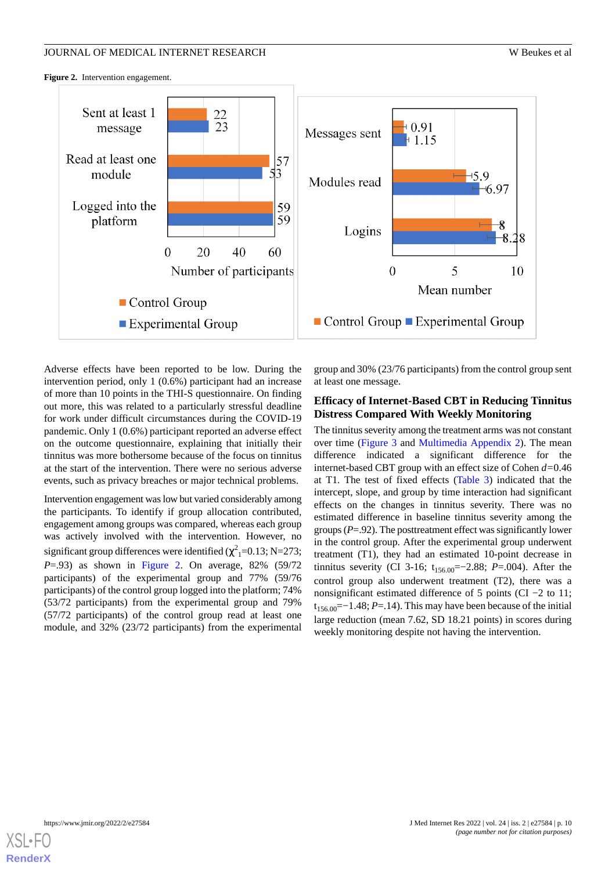<span id="page-9-0"></span>Figure 2. Intervention engagement.



Adverse effects have been reported to be low. During the intervention period, only 1 (0.6%) participant had an increase of more than 10 points in the THI-S questionnaire. On finding out more, this was related to a particularly stressful deadline for work under difficult circumstances during the COVID-19 pandemic. Only 1 (0.6%) participant reported an adverse effect on the outcome questionnaire, explaining that initially their tinnitus was more bothersome because of the focus on tinnitus at the start of the intervention. There were no serious adverse events, such as privacy breaches or major technical problems.

Intervention engagement was low but varied considerably among the participants. To identify if group allocation contributed, engagement among groups was compared, whereas each group was actively involved with the intervention. However, no significant group differences were identified ( $\chi^2$ <sub>1</sub>=0.13; N=273; *P*=.93) as shown in [Figure 2](#page-9-0). On average, 82% (59/72 participants) of the experimental group and 77% (59/76 participants) of the control group logged into the platform; 74% (53/72 participants) from the experimental group and 79% (57/72 participants) of the control group read at least one module, and 32% (23/72 participants) from the experimental

group and 30% (23/76 participants) from the control group sent at least one message.

## **Efficacy of Internet-Based CBT in Reducing Tinnitus Distress Compared With Weekly Monitoring**

The tinnitus severity among the treatment arms was not constant over time [\(Figure 3](#page-10-0) and [Multimedia Appendix 2\)](#page-14-4). The mean difference indicated a significant difference for the internet-based CBT group with an effect size of Cohen *d=*0.46 at T1. The test of fixed effects ([Table 3\)](#page-10-1) indicated that the intercept, slope, and group by time interaction had significant effects on the changes in tinnitus severity. There was no estimated difference in baseline tinnitus severity among the groups (*P*=.92). The posttreatment effect was significantly lower in the control group. After the experimental group underwent treatment (T1), they had an estimated 10-point decrease in tinnitus severity (CI 3-16; t<sub>156.00</sub>=−2.88; *P*=.004). After the control group also underwent treatment (T2), there was a nonsignificant estimated difference of 5 points (CI −2 to 11; t<sub>156.00</sub> = −1.48; *P* = 1.41. This may have been because of the initial large reduction (mean 7.62, SD 18.21 points) in scores during weekly monitoring despite not having the intervention.

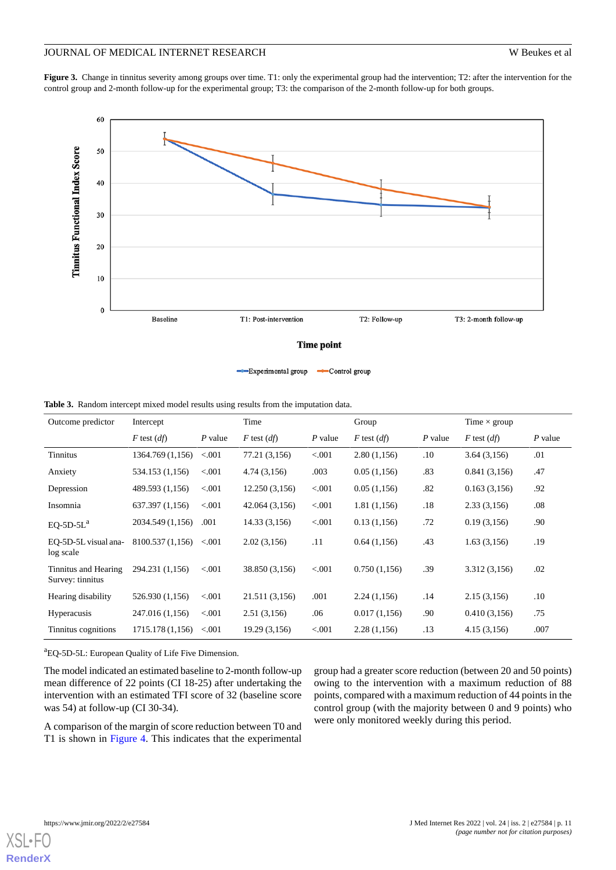<span id="page-10-0"></span>**Figure 3.** Change in tinnitus severity among groups over time. T1: only the experimental group had the intervention; T2: after the intervention for the control group and 2-month follow-up for the experimental group; T3: the comparison of the 2-month follow-up for both groups.



<span id="page-10-1"></span>**Table 3.** Random intercept mixed model results using results from the imputation data.

| Outcome predictor                        | Intercept        |           | Time            |           | Group           |           | Time $\times$ group |           |
|------------------------------------------|------------------|-----------|-----------------|-----------|-----------------|-----------|---------------------|-----------|
|                                          | $F$ test $(df)$  | $P$ value | $F$ test $(df)$ | $P$ value | $F$ test $(df)$ | $P$ value | $F$ test $(df)$     | $P$ value |
| <b>Tinnitus</b>                          | 1364.769 (1,156) | < 0.001   | 77.21 (3,156)   | < 0.001   | 2.80(1,156)     | $.10\,$   | 3.64(3,156)         | .01       |
| Anxiety                                  | 534.153 (1,156)  | < 0.001   | 4.74(3,156)     | .003      | 0.05(1,156)     | .83       | 0.841(3,156)        | .47       |
| Depression                               | 489.593 (1,156)  | < 0.001   | 12.250(3,156)   | < 0.001   | 0.05(1,156)     | .82       | 0.163(3,156)        | .92       |
| Insomnia                                 | 637.397 (1,156)  | < 0.001   | 42.064 (3,156)  | < 0.001   | 1.81(1,156)     | .18       | 2.33(3,156)         | .08       |
| $EQ-5D-5La$                              | 2034.549 (1,156) | .001      | 14.33 (3,156)   | < 0.001   | 0.13(1,156)     | .72       | 0.19(3,156)         | .90       |
| EO-5D-5L visual ana-<br>log scale        | 8100.537 (1,156) | < 0.001   | 2.02(3,156)     | .11       | 0.64(1,156)     | .43       | 1.63(3,156)         | .19       |
| Tinnitus and Hearing<br>Survey: tinnitus | 294.231 (1,156)  | < 0.001   | 38.850 (3,156)  | < 0.001   | 0.750(1,156)    | .39       | 3.312 (3,156)       | .02       |
| Hearing disability                       | 526.930 (1,156)  | < 0.001   | 21.511 (3,156)  | .001      | 2.24(1,156)     | .14       | 2.15(3,156)         | .10       |
| <b>Hyperacusis</b>                       | 247.016 (1,156)  | < 0.001   | 2.51(3,156)     | .06       | 0.017(1,156)    | .90       | 0.410(3,156)        | .75       |
| Tinnitus cognitions                      | 1715.178 (1,156) | < 0.001   | 19.29 (3,156)   | < 0.001   | 2.28(1,156)     | .13       | 4.15(3,156)         | .007      |

<sup>a</sup>EQ-5D-5L: European Quality of Life Five Dimension.

The model indicated an estimated baseline to 2-month follow-up mean difference of 22 points (CI 18-25) after undertaking the intervention with an estimated TFI score of 32 (baseline score was 54) at follow-up (CI 30-34).

A comparison of the margin of score reduction between T0 and T1 is shown in [Figure 4.](#page-11-0) This indicates that the experimental group had a greater score reduction (between 20 and 50 points) owing to the intervention with a maximum reduction of 88 points, compared with a maximum reduction of 44 points in the control group (with the majority between 0 and 9 points) who were only monitored weekly during this period.



**[RenderX](http://www.renderx.com/)**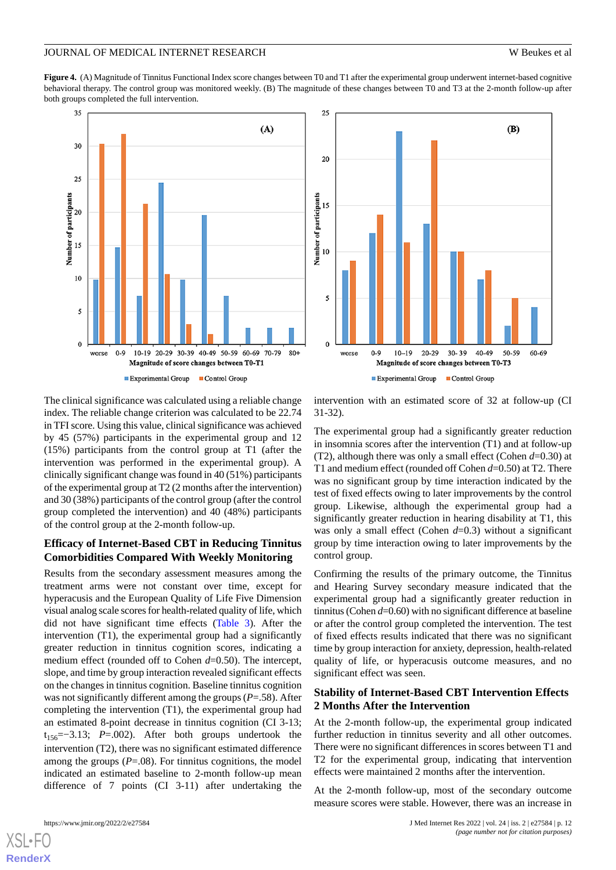<span id="page-11-0"></span>Figure 4. (A) Magnitude of Tinnitus Functional Index score changes between T0 and T1 after the experimental group underwent internet-based cognitive behavioral therapy. The control group was monitored weekly. (B) The magnitude of these changes between T0 and T3 at the 2-month follow-up after both groups completed the full intervention.





The clinical significance was calculated using a reliable change index. The reliable change criterion was calculated to be 22.74 in TFI score. Using this value, clinical significance was achieved by 45 (57%) participants in the experimental group and 12 (15%) participants from the control group at T1 (after the intervention was performed in the experimental group). A clinically significant change was found in 40 (51%) participants of the experimental group at T2 (2 months after the intervention) and 30 (38%) participants of the control group (after the control group completed the intervention) and 40 (48%) participants of the control group at the 2-month follow-up.

## **Efficacy of Internet-Based CBT in Reducing Tinnitus Comorbidities Compared With Weekly Monitoring**

Results from the secondary assessment measures among the treatment arms were not constant over time, except for hyperacusis and the European Quality of Life Five Dimension visual analog scale scores for health-related quality of life, which did not have significant time effects [\(Table 3\)](#page-10-1). After the intervention (T1), the experimental group had a significantly greater reduction in tinnitus cognition scores, indicating a medium effect (rounded off to Cohen  $d=0.50$ ). The intercept, slope, and time by group interaction revealed significant effects on the changes in tinnitus cognition. Baseline tinnitus cognition was not significantly different among the groups (*P*=.58). After completing the intervention (T1), the experimental group had an estimated 8-point decrease in tinnitus cognition (CI 3-13; t156=−3.13; *P*=.002). After both groups undertook the intervention (T2), there was no significant estimated difference among the groups  $(P=.08)$ . For tinnitus cognitions, the model indicated an estimated baseline to 2-month follow-up mean difference of 7 points (CI 3-11) after undertaking the

intervention with an estimated score of 32 at follow-up (CI 31-32).

The experimental group had a significantly greater reduction in insomnia scores after the intervention (T1) and at follow-up (T2), although there was only a small effect (Cohen *d*=0.30) at T1 and medium effect (rounded off Cohen *d*=0.50) at T2. There was no significant group by time interaction indicated by the test of fixed effects owing to later improvements by the control group. Likewise, although the experimental group had a significantly greater reduction in hearing disability at T1, this was only a small effect (Cohen *d*=0.3) without a significant group by time interaction owing to later improvements by the control group.

Confirming the results of the primary outcome, the Tinnitus and Hearing Survey secondary measure indicated that the experimental group had a significantly greater reduction in tinnitus (Cohen *d*=0.60) with no significant difference at baseline or after the control group completed the intervention. The test of fixed effects results indicated that there was no significant time by group interaction for anxiety, depression, health-related quality of life, or hyperacusis outcome measures, and no significant effect was seen.

## **Stability of Internet-Based CBT Intervention Effects 2 Months After the Intervention**

At the 2-month follow-up, the experimental group indicated further reduction in tinnitus severity and all other outcomes. There were no significant differences in scores between T1 and T2 for the experimental group, indicating that intervention effects were maintained 2 months after the intervention.

At the 2-month follow-up, most of the secondary outcome measure scores were stable. However, there was an increase in

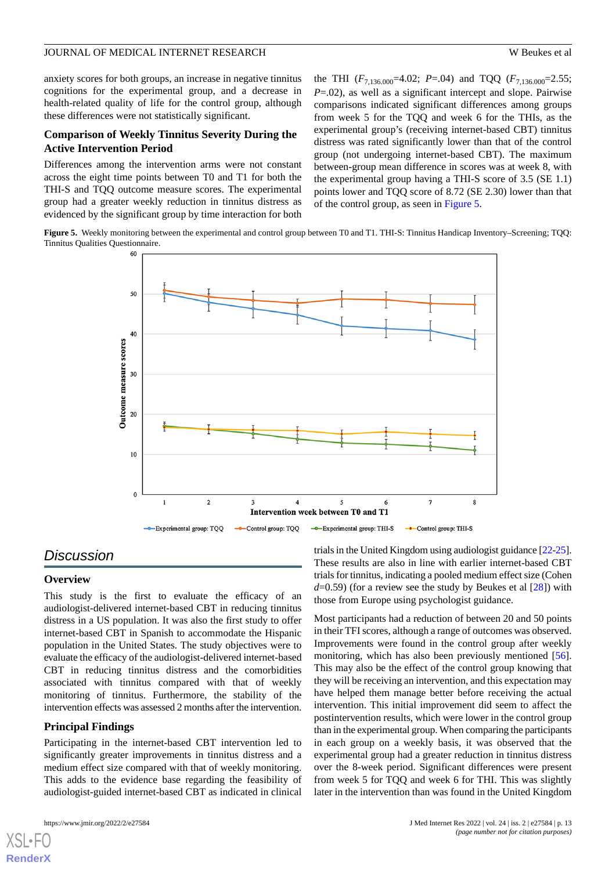anxiety scores for both groups, an increase in negative tinnitus cognitions for the experimental group, and a decrease in health-related quality of life for the control group, although these differences were not statistically significant.

## **Comparison of Weekly Tinnitus Severity During the Active Intervention Period**

Differences among the intervention arms were not constant across the eight time points between T0 and T1 for both the THI-S and TQQ outcome measure scores. The experimental group had a greater weekly reduction in tinnitus distress as evidenced by the significant group by time interaction for both the THI  $(F_{7,136.000} = 4.02; P = .04)$  and TQQ  $(F_{7,136.000} = 2.55;$ *P*=.02), as well as a significant intercept and slope. Pairwise comparisons indicated significant differences among groups from week 5 for the TQQ and week 6 for the THIs, as the experimental group's (receiving internet-based CBT) tinnitus distress was rated significantly lower than that of the control group (not undergoing internet-based CBT). The maximum between-group mean difference in scores was at week 8, with the experimental group having a THI-S score of 3.5 (SE 1.1) points lower and TQQ score of 8.72 (SE 2.30) lower than that of the control group, as seen in [Figure 5](#page-12-0).

<span id="page-12-0"></span>**Figure 5.** Weekly monitoring between the experimental and control group between T0 and T1. THI-S: Tinnitus Handicap Inventory–Screening; TQQ: Tinnitus Qualities Questionnaire.



# *Discussion*

#### **Overview**

This study is the first to evaluate the efficacy of an audiologist-delivered internet-based CBT in reducing tinnitus distress in a US population. It was also the first study to offer internet-based CBT in Spanish to accommodate the Hispanic population in the United States. The study objectives were to evaluate the efficacy of the audiologist-delivered internet-based CBT in reducing tinnitus distress and the comorbidities associated with tinnitus compared with that of weekly monitoring of tinnitus. Furthermore, the stability of the intervention effects was assessed 2 months after the intervention.

## **Principal Findings**

Participating in the internet-based CBT intervention led to significantly greater improvements in tinnitus distress and a medium effect size compared with that of weekly monitoring. This adds to the evidence base regarding the feasibility of audiologist-guided internet-based CBT as indicated in clinical

[XSL](http://www.w3.org/Style/XSL)•FO **[RenderX](http://www.renderx.com/)**

trials in the United Kingdom using audiologist guidance [\[22](#page-15-17)[-25](#page-15-20)]. These results are also in line with earlier internet-based CBT trials for tinnitus, indicating a pooled medium effect size (Cohen *d*=0.59) (for a review see the study by Beukes et al [[28\]](#page-16-1)) with those from Europe using psychologist guidance.

Most participants had a reduction of between 20 and 50 points in their TFI scores, although a range of outcomes was observed. Improvements were found in the control group after weekly monitoring, which has also been previously mentioned [[56\]](#page-17-7). This may also be the effect of the control group knowing that they will be receiving an intervention, and this expectation may have helped them manage better before receiving the actual intervention. This initial improvement did seem to affect the postintervention results, which were lower in the control group than in the experimental group. When comparing the participants in each group on a weekly basis, it was observed that the experimental group had a greater reduction in tinnitus distress over the 8-week period. Significant differences were present from week 5 for TQQ and week 6 for THI. This was slightly later in the intervention than was found in the United Kingdom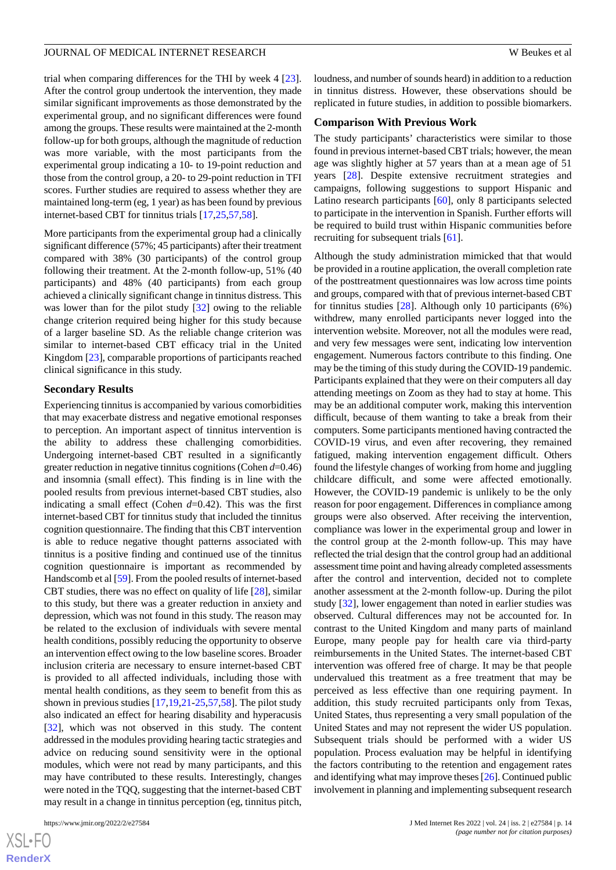trial when comparing differences for the THI by week 4 [[23\]](#page-15-18). After the control group undertook the intervention, they made similar significant improvements as those demonstrated by the experimental group, and no significant differences were found among the groups. These results were maintained at the 2-month follow-up for both groups, although the magnitude of reduction was more variable, with the most participants from the experimental group indicating a 10- to 19-point reduction and those from the control group, a 20- to 29-point reduction in TFI scores. Further studies are required to assess whether they are maintained long-term (eg, 1 year) as has been found by previous internet-based CBT for tinnitus trials [\[17](#page-15-12),[25,](#page-15-20)[57](#page-17-8),[58\]](#page-17-9).

More participants from the experimental group had a clinically significant difference (57%; 45 participants) after their treatment compared with 38% (30 participants) of the control group following their treatment. At the 2-month follow-up, 51% (40 participants) and 48% (40 participants) from each group achieved a clinically significant change in tinnitus distress. This was lower than for the pilot study [[32\]](#page-16-5) owing to the reliable change criterion required being higher for this study because of a larger baseline SD. As the reliable change criterion was similar to internet-based CBT efficacy trial in the United Kingdom [[23\]](#page-15-18), comparable proportions of participants reached clinical significance in this study.

## **Secondary Results**

Experiencing tinnitus is accompanied by various comorbidities that may exacerbate distress and negative emotional responses to perception. An important aspect of tinnitus intervention is the ability to address these challenging comorbidities. Undergoing internet-based CBT resulted in a significantly greater reduction in negative tinnitus cognitions (Cohen *d*=0.46) and insomnia (small effect). This finding is in line with the pooled results from previous internet-based CBT studies, also indicating a small effect (Cohen *d*=0.42). This was the first internet-based CBT for tinnitus study that included the tinnitus cognition questionnaire. The finding that this CBT intervention is able to reduce negative thought patterns associated with tinnitus is a positive finding and continued use of the tinnitus cognition questionnaire is important as recommended by Handscomb et al [\[59](#page-17-10)]. From the pooled results of internet-based CBT studies, there was no effect on quality of life [[28\]](#page-16-1), similar to this study, but there was a greater reduction in anxiety and depression, which was not found in this study. The reason may be related to the exclusion of individuals with severe mental health conditions, possibly reducing the opportunity to observe an intervention effect owing to the low baseline scores. Broader inclusion criteria are necessary to ensure internet-based CBT is provided to all affected individuals, including those with mental health conditions, as they seem to benefit from this as shown in previous studies [\[17](#page-15-12),[19](#page-15-14)[,21](#page-15-16)-[25,](#page-15-20)[57](#page-17-8),[58\]](#page-17-9). The pilot study also indicated an effect for hearing disability and hyperacusis [[32\]](#page-16-5), which was not observed in this study. The content addressed in the modules providing hearing tactic strategies and advice on reducing sound sensitivity were in the optional modules, which were not read by many participants, and this may have contributed to these results. Interestingly, changes were noted in the TQQ, suggesting that the internet-based CBT may result in a change in tinnitus perception (eg, tinnitus pitch,

[XSL](http://www.w3.org/Style/XSL)•FO **[RenderX](http://www.renderx.com/)** loudness, and number of sounds heard) in addition to a reduction in tinnitus distress. However, these observations should be replicated in future studies, in addition to possible biomarkers.

#### **Comparison With Previous Work**

The study participants' characteristics were similar to those found in previous internet-based CBT trials; however, the mean age was slightly higher at 57 years than at a mean age of 51 years [\[28](#page-16-1)]. Despite extensive recruitment strategies and campaigns, following suggestions to support Hispanic and Latino research participants [[60\]](#page-17-11), only 8 participants selected to participate in the intervention in Spanish. Further efforts will be required to build trust within Hispanic communities before recruiting for subsequent trials [[61\]](#page-17-12).

Although the study administration mimicked that that would be provided in a routine application, the overall completion rate of the posttreatment questionnaires was low across time points and groups, compared with that of previous internet-based CBT for tinnitus studies  $[28]$  $[28]$ . Although only 10 participants (6%) withdrew, many enrolled participants never logged into the intervention website. Moreover, not all the modules were read, and very few messages were sent, indicating low intervention engagement. Numerous factors contribute to this finding. One may be the timing of this study during the COVID-19 pandemic. Participants explained that they were on their computers all day attending meetings on Zoom as they had to stay at home. This may be an additional computer work, making this intervention difficult, because of them wanting to take a break from their computers. Some participants mentioned having contracted the COVID-19 virus, and even after recovering, they remained fatigued, making intervention engagement difficult. Others found the lifestyle changes of working from home and juggling childcare difficult, and some were affected emotionally. However, the COVID-19 pandemic is unlikely to be the only reason for poor engagement. Differences in compliance among groups were also observed. After receiving the intervention, compliance was lower in the experimental group and lower in the control group at the 2-month follow-up. This may have reflected the trial design that the control group had an additional assessment time point and having already completed assessments after the control and intervention, decided not to complete another assessment at the 2-month follow-up. During the pilot study [\[32](#page-16-5)], lower engagement than noted in earlier studies was observed. Cultural differences may not be accounted for. In contrast to the United Kingdom and many parts of mainland Europe, many people pay for health care via third-party reimbursements in the United States. The internet-based CBT intervention was offered free of charge. It may be that people undervalued this treatment as a free treatment that may be perceived as less effective than one requiring payment. In addition, this study recruited participants only from Texas, United States, thus representing a very small population of the United States and may not represent the wider US population. Subsequent trials should be performed with a wider US population. Process evaluation may be helpful in identifying the factors contributing to the retention and engagement rates and identifying what may improve theses [\[26\]](#page-16-22). Continued public involvement in planning and implementing subsequent research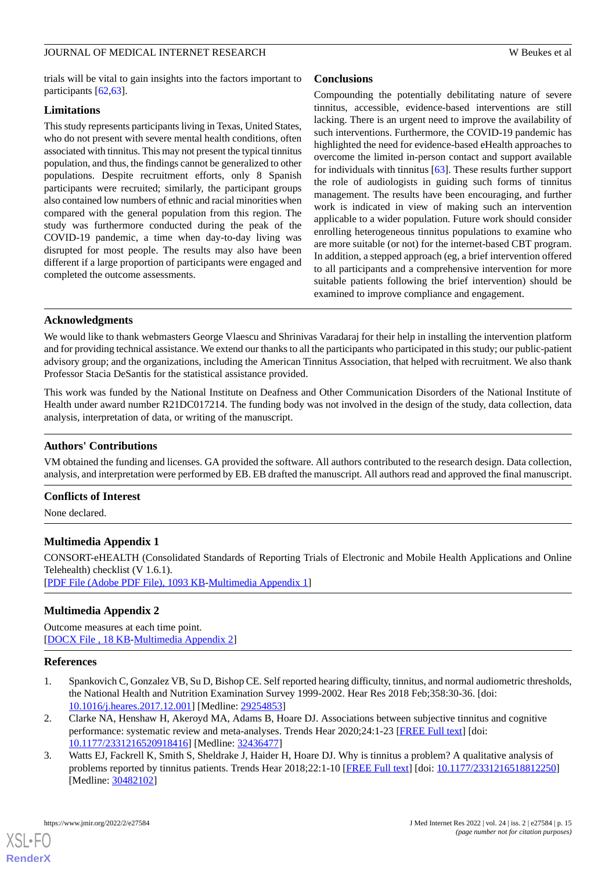trials will be vital to gain insights into the factors important to participants [\[62](#page-17-13),[63\]](#page-17-14).

## **Limitations**

This study represents participants living in Texas, United States, who do not present with severe mental health conditions, often associated with tinnitus. This may not present the typical tinnitus population, and thus, the findings cannot be generalized to other populations. Despite recruitment efforts, only 8 Spanish participants were recruited; similarly, the participant groups also contained low numbers of ethnic and racial minorities when compared with the general population from this region. The study was furthermore conducted during the peak of the COVID-19 pandemic, a time when day-to-day living was disrupted for most people. The results may also have been different if a large proportion of participants were engaged and completed the outcome assessments.

# **Conclusions**

Compounding the potentially debilitating nature of severe tinnitus, accessible, evidence-based interventions are still lacking. There is an urgent need to improve the availability of such interventions. Furthermore, the COVID-19 pandemic has highlighted the need for evidence-based eHealth approaches to overcome the limited in-person contact and support available for individuals with tinnitus [\[63](#page-17-14)]. These results further support the role of audiologists in guiding such forms of tinnitus management. The results have been encouraging, and further work is indicated in view of making such an intervention applicable to a wider population. Future work should consider enrolling heterogeneous tinnitus populations to examine who are more suitable (or not) for the internet-based CBT program. In addition, a stepped approach (eg, a brief intervention offered to all participants and a comprehensive intervention for more suitable patients following the brief intervention) should be examined to improve compliance and engagement.

## **Acknowledgments**

We would like to thank webmasters George Vlaescu and Shrinivas Varadaraj for their help in installing the intervention platform and for providing technical assistance. We extend our thanks to all the participants who participated in this study; our public-patient advisory group; and the organizations, including the American Tinnitus Association, that helped with recruitment. We also thank Professor Stacia DeSantis for the statistical assistance provided.

This work was funded by the National Institute on Deafness and Other Communication Disorders of the National Institute of Health under award number R21DC017214. The funding body was not involved in the design of the study, data collection, data analysis, interpretation of data, or writing of the manuscript.

## **Authors' Contributions**

VM obtained the funding and licenses. GA provided the software. All authors contributed to the research design. Data collection, analysis, and interpretation were performed by EB. EB drafted the manuscript. All authors read and approved the final manuscript.

## <span id="page-14-3"></span>**Conflicts of Interest**

None declared.

## <span id="page-14-4"></span>**Multimedia Appendix 1**

CONSORT-eHEALTH (Consolidated Standards of Reporting Trials of Electronic and Mobile Health Applications and Online Telehealth) checklist (V 1.6.1). [[PDF File \(Adobe PDF File\), 1093 KB](https://jmir.org/api/download?alt_name=jmir_v24i2e27584_app1.pdf&filename=33d094f0e983f841629d8b45b0b312ea.pdf)-[Multimedia Appendix 1\]](https://jmir.org/api/download?alt_name=jmir_v24i2e27584_app1.pdf&filename=33d094f0e983f841629d8b45b0b312ea.pdf)

## <span id="page-14-0"></span>**Multimedia Appendix 2**

Outcome measures at each time point. [[DOCX File , 18 KB](https://jmir.org/api/download?alt_name=jmir_v24i2e27584_app2.docx&filename=f8db3711a3cb6afbe337e360dba8c9e2.docx)-[Multimedia Appendix 2\]](https://jmir.org/api/download?alt_name=jmir_v24i2e27584_app2.docx&filename=f8db3711a3cb6afbe337e360dba8c9e2.docx)

## <span id="page-14-1"></span>**References**

- <span id="page-14-2"></span>1. Spankovich C, Gonzalez VB, Su D, Bishop CE. Self reported hearing difficulty, tinnitus, and normal audiometric thresholds, the National Health and Nutrition Examination Survey 1999-2002. Hear Res 2018 Feb;358:30-36. [doi: [10.1016/j.heares.2017.12.001](http://dx.doi.org/10.1016/j.heares.2017.12.001)] [Medline: [29254853\]](http://www.ncbi.nlm.nih.gov/entrez/query.fcgi?cmd=Retrieve&db=PubMed&list_uids=29254853&dopt=Abstract)
- 2. Clarke NA, Henshaw H, Akeroyd MA, Adams B, Hoare DJ. Associations between subjective tinnitus and cognitive performance: systematic review and meta-analyses. Trends Hear 2020;24:1-23 [\[FREE Full text\]](https://journals.sagepub.com/doi/10.1177/2331216520918416?url_ver=Z39.88-2003&rfr_id=ori:rid:crossref.org&rfr_dat=cr_pub%3dpubmed) [doi: [10.1177/2331216520918416\]](http://dx.doi.org/10.1177/2331216520918416) [Medline: [32436477\]](http://www.ncbi.nlm.nih.gov/entrez/query.fcgi?cmd=Retrieve&db=PubMed&list_uids=32436477&dopt=Abstract)
- 3. Watts EJ, Fackrell K, Smith S, Sheldrake J, Haider H, Hoare DJ. Why is tinnitus a problem? A qualitative analysis of problems reported by tinnitus patients. Trends Hear 2018;22:1-10 [[FREE Full text](https://journals.sagepub.com/doi/10.1177/2331216518812250?url_ver=Z39.88-2003&rfr_id=ori:rid:crossref.org&rfr_dat=cr_pub%3dpubmed)] [doi: [10.1177/2331216518812250\]](http://dx.doi.org/10.1177/2331216518812250) [Medline: [30482102](http://www.ncbi.nlm.nih.gov/entrez/query.fcgi?cmd=Retrieve&db=PubMed&list_uids=30482102&dopt=Abstract)]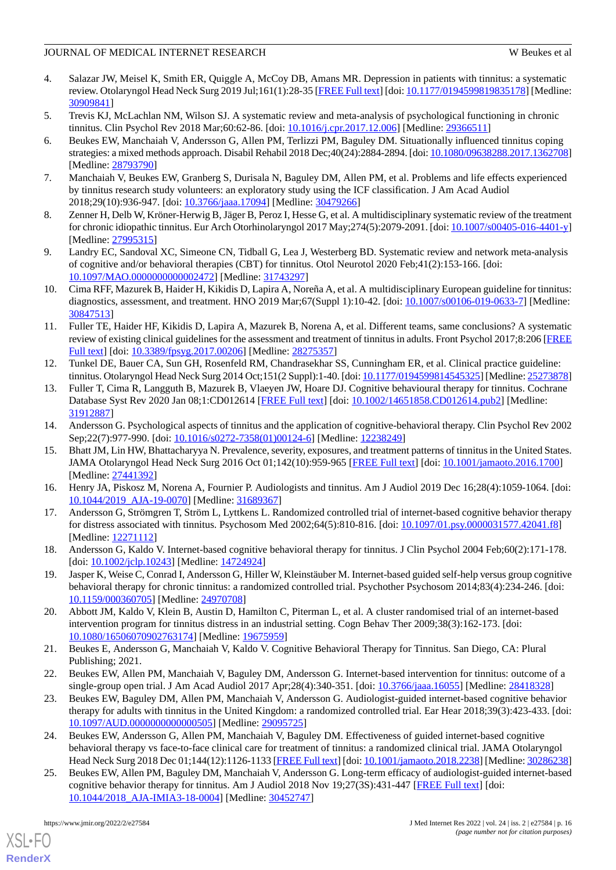- <span id="page-15-0"></span>4. Salazar JW, Meisel K, Smith ER, Quiggle A, McCoy DB, Amans MR. Depression in patients with tinnitus: a systematic review. Otolaryngol Head Neck Surg 2019 Jul;161(1):28-35 [[FREE Full text\]](http://europepmc.org/abstract/MED/30909841) [doi: [10.1177/0194599819835178](http://dx.doi.org/10.1177/0194599819835178)] [Medline: [30909841](http://www.ncbi.nlm.nih.gov/entrez/query.fcgi?cmd=Retrieve&db=PubMed&list_uids=30909841&dopt=Abstract)]
- <span id="page-15-2"></span><span id="page-15-1"></span>5. Trevis KJ, McLachlan NM, Wilson SJ. A systematic review and meta-analysis of psychological functioning in chronic tinnitus. Clin Psychol Rev 2018 Mar;60:62-86. [doi: [10.1016/j.cpr.2017.12.006\]](http://dx.doi.org/10.1016/j.cpr.2017.12.006) [Medline: [29366511](http://www.ncbi.nlm.nih.gov/entrez/query.fcgi?cmd=Retrieve&db=PubMed&list_uids=29366511&dopt=Abstract)]
- 6. Beukes EW, Manchaiah V, Andersson G, Allen PM, Terlizzi PM, Baguley DM. Situationally influenced tinnitus coping strategies: a mixed methods approach. Disabil Rehabil 2018 Dec;40(24):2884-2894. [doi: [10.1080/09638288.2017.1362708\]](http://dx.doi.org/10.1080/09638288.2017.1362708) [Medline: [28793790](http://www.ncbi.nlm.nih.gov/entrez/query.fcgi?cmd=Retrieve&db=PubMed&list_uids=28793790&dopt=Abstract)]
- <span id="page-15-4"></span><span id="page-15-3"></span>7. Manchaiah V, Beukes EW, Granberg S, Durisala N, Baguley DM, Allen PM, et al. Problems and life effects experienced by tinnitus research study volunteers: an exploratory study using the ICF classification. J Am Acad Audiol 2018;29(10):936-947. [doi: [10.3766/jaaa.17094](http://dx.doi.org/10.3766/jaaa.17094)] [Medline: [30479266](http://www.ncbi.nlm.nih.gov/entrez/query.fcgi?cmd=Retrieve&db=PubMed&list_uids=30479266&dopt=Abstract)]
- <span id="page-15-5"></span>8. Zenner H, Delb W, Kröner-Herwig B, Jäger B, Peroz I, Hesse G, et al. A multidisciplinary systematic review of the treatment for chronic idiopathic tinnitus. Eur Arch Otorhinolaryngol 2017 May;274(5):2079-2091. [doi: [10.1007/s00405-016-4401-y\]](http://dx.doi.org/10.1007/s00405-016-4401-y) [Medline: [27995315](http://www.ncbi.nlm.nih.gov/entrez/query.fcgi?cmd=Retrieve&db=PubMed&list_uids=27995315&dopt=Abstract)]
- <span id="page-15-6"></span>9. Landry EC, Sandoval XC, Simeone CN, Tidball G, Lea J, Westerberg BD. Systematic review and network meta-analysis of cognitive and/or behavioral therapies (CBT) for tinnitus. Otol Neurotol 2020 Feb;41(2):153-166. [doi: [10.1097/MAO.0000000000002472](http://dx.doi.org/10.1097/MAO.0000000000002472)] [Medline: [31743297\]](http://www.ncbi.nlm.nih.gov/entrez/query.fcgi?cmd=Retrieve&db=PubMed&list_uids=31743297&dopt=Abstract)
- 10. Cima RFF, Mazurek B, Haider H, Kikidis D, Lapira A, Noreña A, et al. A multidisciplinary European guideline for tinnitus: diagnostics, assessment, and treatment. HNO 2019 Mar;67(Suppl 1):10-42. [doi: [10.1007/s00106-019-0633-7\]](http://dx.doi.org/10.1007/s00106-019-0633-7) [Medline: [30847513](http://www.ncbi.nlm.nih.gov/entrez/query.fcgi?cmd=Retrieve&db=PubMed&list_uids=30847513&dopt=Abstract)]
- <span id="page-15-7"></span>11. Fuller TE, Haider HF, Kikidis D, Lapira A, Mazurek B, Norena A, et al. Different teams, same conclusions? A systematic review of existing clinical guidelines for the assessment and treatment of tinnitus in adults. Front Psychol 2017;8:206 [\[FREE](https://doi.org/10.3389/fpsyg.2017.00206) [Full text\]](https://doi.org/10.3389/fpsyg.2017.00206) [doi: [10.3389/fpsyg.2017.00206\]](http://dx.doi.org/10.3389/fpsyg.2017.00206) [Medline: [28275357](http://www.ncbi.nlm.nih.gov/entrez/query.fcgi?cmd=Retrieve&db=PubMed&list_uids=28275357&dopt=Abstract)]
- <span id="page-15-8"></span>12. Tunkel DE, Bauer CA, Sun GH, Rosenfeld RM, Chandrasekhar SS, Cunningham ER, et al. Clinical practice guideline: tinnitus. Otolaryngol Head Neck Surg 2014 Oct;151(2 Suppl):1-40. [doi: [10.1177/0194599814545325](http://dx.doi.org/10.1177/0194599814545325)] [Medline: [25273878\]](http://www.ncbi.nlm.nih.gov/entrez/query.fcgi?cmd=Retrieve&db=PubMed&list_uids=25273878&dopt=Abstract)
- <span id="page-15-10"></span><span id="page-15-9"></span>13. Fuller T, Cima R, Langguth B, Mazurek B, Vlaeyen JW, Hoare DJ. Cognitive behavioural therapy for tinnitus. Cochrane Database Syst Rev 2020 Jan 08;1:CD012614 [\[FREE Full text\]](http://europepmc.org/abstract/MED/31912887) [doi: [10.1002/14651858.CD012614.pub2](http://dx.doi.org/10.1002/14651858.CD012614.pub2)] [Medline: [31912887](http://www.ncbi.nlm.nih.gov/entrez/query.fcgi?cmd=Retrieve&db=PubMed&list_uids=31912887&dopt=Abstract)]
- 14. Andersson G. Psychological aspects of tinnitus and the application of cognitive-behavioral therapy. Clin Psychol Rev 2002 Sep;22(7):977-990. [doi: [10.1016/s0272-7358\(01\)00124-6\]](http://dx.doi.org/10.1016/s0272-7358(01)00124-6) [Medline: [12238249\]](http://www.ncbi.nlm.nih.gov/entrez/query.fcgi?cmd=Retrieve&db=PubMed&list_uids=12238249&dopt=Abstract)
- <span id="page-15-12"></span><span id="page-15-11"></span>15. Bhatt JM, Lin HW, Bhattacharyya N. Prevalence, severity, exposures, and treatment patterns of tinnitus in the United States. JAMA Otolaryngol Head Neck Surg 2016 Oct 01;142(10):959-965 [[FREE Full text](http://europepmc.org/abstract/MED/27441392)] [doi: [10.1001/jamaoto.2016.1700\]](http://dx.doi.org/10.1001/jamaoto.2016.1700) [Medline: [27441392](http://www.ncbi.nlm.nih.gov/entrez/query.fcgi?cmd=Retrieve&db=PubMed&list_uids=27441392&dopt=Abstract)]
- <span id="page-15-13"></span>16. Henry JA, Piskosz M, Norena A, Fournier P. Audiologists and tinnitus. Am J Audiol 2019 Dec 16;28(4):1059-1064. [doi: [10.1044/2019\\_AJA-19-0070](http://dx.doi.org/10.1044/2019_AJA-19-0070)] [Medline: [31689367\]](http://www.ncbi.nlm.nih.gov/entrez/query.fcgi?cmd=Retrieve&db=PubMed&list_uids=31689367&dopt=Abstract)
- <span id="page-15-14"></span>17. Andersson G, Strömgren T, Ström L, Lyttkens L. Randomized controlled trial of internet-based cognitive behavior therapy for distress associated with tinnitus. Psychosom Med 2002;64(5):810-816. [doi: [10.1097/01.psy.0000031577.42041.f8\]](http://dx.doi.org/10.1097/01.psy.0000031577.42041.f8) [Medline: [12271112](http://www.ncbi.nlm.nih.gov/entrez/query.fcgi?cmd=Retrieve&db=PubMed&list_uids=12271112&dopt=Abstract)]
- <span id="page-15-15"></span>18. Andersson G, Kaldo V. Internet-based cognitive behavioral therapy for tinnitus. J Clin Psychol 2004 Feb;60(2):171-178. [doi: [10.1002/jclp.10243\]](http://dx.doi.org/10.1002/jclp.10243) [Medline: [14724924\]](http://www.ncbi.nlm.nih.gov/entrez/query.fcgi?cmd=Retrieve&db=PubMed&list_uids=14724924&dopt=Abstract)
- <span id="page-15-16"></span>19. Jasper K, Weise C, Conrad I, Andersson G, Hiller W, Kleinstäuber M. Internet-based guided self-help versus group cognitive behavioral therapy for chronic tinnitus: a randomized controlled trial. Psychother Psychosom 2014;83(4):234-246. [doi: [10.1159/000360705\]](http://dx.doi.org/10.1159/000360705) [Medline: [24970708\]](http://www.ncbi.nlm.nih.gov/entrez/query.fcgi?cmd=Retrieve&db=PubMed&list_uids=24970708&dopt=Abstract)
- <span id="page-15-18"></span><span id="page-15-17"></span>20. Abbott JM, Kaldo V, Klein B, Austin D, Hamilton C, Piterman L, et al. A cluster randomised trial of an internet-based intervention program for tinnitus distress in an industrial setting. Cogn Behav Ther 2009;38(3):162-173. [doi: [10.1080/16506070902763174\]](http://dx.doi.org/10.1080/16506070902763174) [Medline: [19675959\]](http://www.ncbi.nlm.nih.gov/entrez/query.fcgi?cmd=Retrieve&db=PubMed&list_uids=19675959&dopt=Abstract)
- 21. Beukes E, Andersson G, Manchaiah V, Kaldo V. Cognitive Behavioral Therapy for Tinnitus. San Diego, CA: Plural Publishing; 2021.
- <span id="page-15-19"></span>22. Beukes EW, Allen PM, Manchaiah V, Baguley DM, Andersson G. Internet-based intervention for tinnitus: outcome of a single-group open trial. J Am Acad Audiol 2017 Apr;28(4):340-351. [doi: [10.3766/jaaa.16055](http://dx.doi.org/10.3766/jaaa.16055)] [Medline: [28418328](http://www.ncbi.nlm.nih.gov/entrez/query.fcgi?cmd=Retrieve&db=PubMed&list_uids=28418328&dopt=Abstract)]
- <span id="page-15-20"></span>23. Beukes EW, Baguley DM, Allen PM, Manchaiah V, Andersson G. Audiologist-guided internet-based cognitive behavior therapy for adults with tinnitus in the United Kingdom: a randomized controlled trial. Ear Hear 2018;39(3):423-433. [doi: [10.1097/AUD.0000000000000505](http://dx.doi.org/10.1097/AUD.0000000000000505)] [Medline: [29095725](http://www.ncbi.nlm.nih.gov/entrez/query.fcgi?cmd=Retrieve&db=PubMed&list_uids=29095725&dopt=Abstract)]
- 24. Beukes EW, Andersson G, Allen PM, Manchaiah V, Baguley DM. Effectiveness of guided internet-based cognitive behavioral therapy vs face-to-face clinical care for treatment of tinnitus: a randomized clinical trial. JAMA Otolaryngol Head Neck Surg 2018 Dec 01;144(12):1126-1133 [\[FREE Full text](http://europepmc.org/abstract/MED/30286238)] [doi: [10.1001/jamaoto.2018.2238\]](http://dx.doi.org/10.1001/jamaoto.2018.2238) [Medline: [30286238\]](http://www.ncbi.nlm.nih.gov/entrez/query.fcgi?cmd=Retrieve&db=PubMed&list_uids=30286238&dopt=Abstract)
- 25. Beukes EW, Allen PM, Baguley DM, Manchaiah V, Andersson G. Long-term efficacy of audiologist-guided internet-based cognitive behavior therapy for tinnitus. Am J Audiol 2018 Nov 19;27(3S):431-447 [[FREE Full text](http://europepmc.org/abstract/MED/30452747)] [doi: [10.1044/2018\\_AJA-IMIA3-18-0004](http://dx.doi.org/10.1044/2018_AJA-IMIA3-18-0004)] [Medline: [30452747](http://www.ncbi.nlm.nih.gov/entrez/query.fcgi?cmd=Retrieve&db=PubMed&list_uids=30452747&dopt=Abstract)]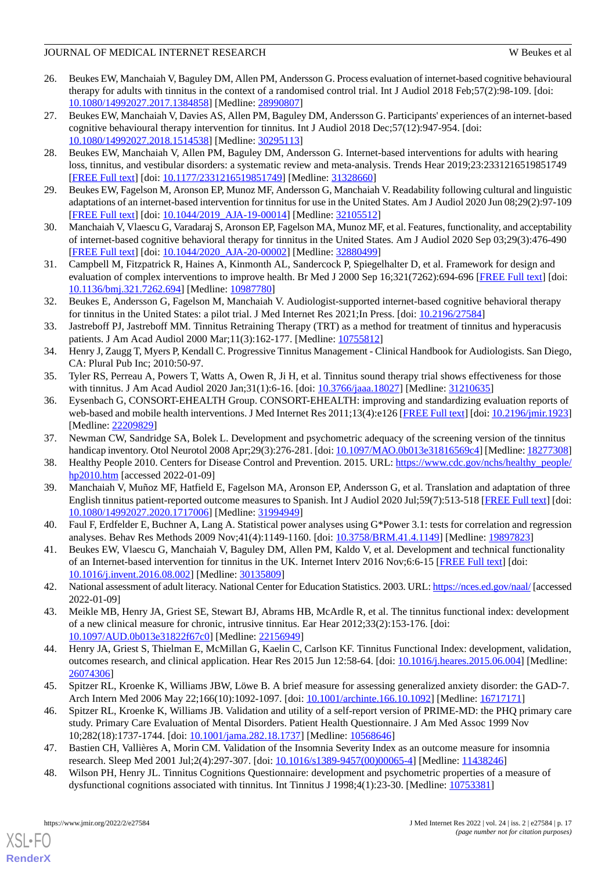- <span id="page-16-22"></span>26. Beukes EW, Manchaiah V, Baguley DM, Allen PM, Andersson G. Process evaluation of internet-based cognitive behavioural therapy for adults with tinnitus in the context of a randomised control trial. Int J Audiol 2018 Feb;57(2):98-109. [doi: [10.1080/14992027.2017.1384858\]](http://dx.doi.org/10.1080/14992027.2017.1384858) [Medline: [28990807\]](http://www.ncbi.nlm.nih.gov/entrez/query.fcgi?cmd=Retrieve&db=PubMed&list_uids=28990807&dopt=Abstract)
- <span id="page-16-0"></span>27. Beukes EW, Manchaiah V, Davies AS, Allen PM, Baguley DM, Andersson G. Participants' experiences of an internet-based cognitive behavioural therapy intervention for tinnitus. Int J Audiol 2018 Dec;57(12):947-954. [doi: [10.1080/14992027.2018.1514538\]](http://dx.doi.org/10.1080/14992027.2018.1514538) [Medline: [30295113\]](http://www.ncbi.nlm.nih.gov/entrez/query.fcgi?cmd=Retrieve&db=PubMed&list_uids=30295113&dopt=Abstract)
- <span id="page-16-1"></span>28. Beukes EW, Manchaiah V, Allen PM, Baguley DM, Andersson G. Internet-based interventions for adults with hearing loss, tinnitus, and vestibular disorders: a systematic review and meta-analysis. Trends Hear 2019;23:2331216519851749 [[FREE Full text](https://journals.sagepub.com/doi/10.1177/2331216519851749?url_ver=Z39.88-2003&rfr_id=ori:rid:crossref.org&rfr_dat=cr_pub%3dpubmed)] [doi: [10.1177/2331216519851749\]](http://dx.doi.org/10.1177/2331216519851749) [Medline: [31328660](http://www.ncbi.nlm.nih.gov/entrez/query.fcgi?cmd=Retrieve&db=PubMed&list_uids=31328660&dopt=Abstract)]
- <span id="page-16-3"></span><span id="page-16-2"></span>29. Beukes EW, Fagelson M, Aronson EP, Munoz MF, Andersson G, Manchaiah V. Readability following cultural and linguistic adaptations of an internet-based intervention for tinnitus for use in the United States. Am J Audiol 2020 Jun 08;29(2):97-109 [[FREE Full text](http://europepmc.org/abstract/MED/32105512)] [doi: [10.1044/2019\\_AJA-19-00014](http://dx.doi.org/10.1044/2019_AJA-19-00014)] [Medline: [32105512\]](http://www.ncbi.nlm.nih.gov/entrez/query.fcgi?cmd=Retrieve&db=PubMed&list_uids=32105512&dopt=Abstract)
- <span id="page-16-4"></span>30. Manchaiah V, Vlaescu G, Varadaraj S, Aronson EP, Fagelson MA, Munoz MF, et al. Features, functionality, and acceptability of internet-based cognitive behavioral therapy for tinnitus in the United States. Am J Audiol 2020 Sep 03;29(3):476-490 [[FREE Full text](http://europepmc.org/abstract/MED/32880499)] [doi: [10.1044/2020\\_AJA-20-00002](http://dx.doi.org/10.1044/2020_AJA-20-00002)] [Medline: [32880499\]](http://www.ncbi.nlm.nih.gov/entrez/query.fcgi?cmd=Retrieve&db=PubMed&list_uids=32880499&dopt=Abstract)
- <span id="page-16-5"></span>31. Campbell M, Fitzpatrick R, Haines A, Kinmonth AL, Sandercock P, Spiegelhalter D, et al. Framework for design and evaluation of complex interventions to improve health. Br Med J 2000 Sep 16;321(7262):694-696 [[FREE Full text](http://europepmc.org/abstract/MED/10987780)] [doi: [10.1136/bmj.321.7262.694\]](http://dx.doi.org/10.1136/bmj.321.7262.694) [Medline: [10987780\]](http://www.ncbi.nlm.nih.gov/entrez/query.fcgi?cmd=Retrieve&db=PubMed&list_uids=10987780&dopt=Abstract)
- <span id="page-16-6"></span>32. Beukes E, Andersson G, Fagelson M, Manchaiah V. Audiologist-supported internet-based cognitive behavioral therapy for tinnitus in the United States: a pilot trial. J Med Internet Res 2021;In Press. [doi: [10.2196/27584\]](http://dx.doi.org/10.2196/27584)
- <span id="page-16-8"></span><span id="page-16-7"></span>33. Jastreboff PJ, Jastreboff MM. Tinnitus Retraining Therapy (TRT) as a method for treatment of tinnitus and hyperacusis patients. J Am Acad Audiol 2000 Mar;11(3):162-177. [Medline: [10755812](http://www.ncbi.nlm.nih.gov/entrez/query.fcgi?cmd=Retrieve&db=PubMed&list_uids=10755812&dopt=Abstract)]
- <span id="page-16-9"></span>34. Henry J, Zaugg T, Myers P, Kendall C. Progressive Tinnitus Management - Clinical Handbook for Audiologists. San Diego, CA: Plural Pub Inc; 2010:50-97.
- 35. Tyler RS, Perreau A, Powers T, Watts A, Owen R, Ji H, et al. Tinnitus sound therapy trial shows effectiveness for those with tinnitus. J Am Acad Audiol 2020 Jan; 31(1): 6-16. [doi: 10.3766/jaaa. 18027] [Medline: [31210635](http://www.ncbi.nlm.nih.gov/entrez/query.fcgi?cmd=Retrieve&db=PubMed&list_uids=31210635&dopt=Abstract)]
- <span id="page-16-11"></span><span id="page-16-10"></span>36. Eysenbach G, CONSORT-EHEALTH Group. CONSORT-EHEALTH: improving and standardizing evaluation reports of web-based and mobile health interventions. J Med Internet Res 2011;13(4):e126 [[FREE Full text](http://www.jmir.org/2011/4/e126/)] [doi: [10.2196/jmir.1923](http://dx.doi.org/10.2196/jmir.1923)] [Medline: [22209829](http://www.ncbi.nlm.nih.gov/entrez/query.fcgi?cmd=Retrieve&db=PubMed&list_uids=22209829&dopt=Abstract)]
- <span id="page-16-12"></span>37. Newman CW, Sandridge SA, Bolek L. Development and psychometric adequacy of the screening version of the tinnitus handicap inventory. Otol Neurotol 2008 Apr;29(3):276-281. [doi: [10.1097/MAO.0b013e31816569c4](http://dx.doi.org/10.1097/MAO.0b013e31816569c4)] [Medline: [18277308](http://www.ncbi.nlm.nih.gov/entrez/query.fcgi?cmd=Retrieve&db=PubMed&list_uids=18277308&dopt=Abstract)]
- <span id="page-16-13"></span>38. Healthy People 2010. Centers for Disease Control and Prevention. 2015. URL: [https://www.cdc.gov/nchs/healthy\\_people/](https://www.cdc.gov/nchs/healthy_people/hp2010.htm) [hp2010.htm](https://www.cdc.gov/nchs/healthy_people/hp2010.htm) [accessed 2022-01-09]
- <span id="page-16-14"></span>39. Manchaiah V, Muñoz MF, Hatfield E, Fagelson MA, Aronson EP, Andersson G, et al. Translation and adaptation of three English tinnitus patient-reported outcome measures to Spanish. Int J Audiol 2020 Jul;59(7):513-518 [[FREE Full text](http://europepmc.org/abstract/MED/31994949)] [doi: [10.1080/14992027.2020.1717006\]](http://dx.doi.org/10.1080/14992027.2020.1717006) [Medline: [31994949\]](http://www.ncbi.nlm.nih.gov/entrez/query.fcgi?cmd=Retrieve&db=PubMed&list_uids=31994949&dopt=Abstract)
- <span id="page-16-15"></span>40. Faul F, Erdfelder E, Buchner A, Lang A. Statistical power analyses using G\*Power 3.1: tests for correlation and regression analyses. Behav Res Methods 2009 Nov;41(4):1149-1160. [doi: [10.3758/BRM.41.4.1149\]](http://dx.doi.org/10.3758/BRM.41.4.1149) [Medline: [19897823](http://www.ncbi.nlm.nih.gov/entrez/query.fcgi?cmd=Retrieve&db=PubMed&list_uids=19897823&dopt=Abstract)]
- <span id="page-16-16"></span>41. Beukes EW, Vlaescu G, Manchaiah V, Baguley DM, Allen PM, Kaldo V, et al. Development and technical functionality of an Internet-based intervention for tinnitus in the UK. Internet Interv 2016 Nov;6:6-15 [\[FREE Full text\]](https://linkinghub.elsevier.com/retrieve/pii/S2214-7829(16)30027-6) [doi: [10.1016/j.invent.2016.08.002](http://dx.doi.org/10.1016/j.invent.2016.08.002)] [Medline: [30135809\]](http://www.ncbi.nlm.nih.gov/entrez/query.fcgi?cmd=Retrieve&db=PubMed&list_uids=30135809&dopt=Abstract)
- <span id="page-16-17"></span>42. National assessment of adult literacy. National Center for Education Statistics. 2003. URL:<https://nces.ed.gov/naal/> [accessed 2022-01-09]
- <span id="page-16-18"></span>43. Meikle MB, Henry JA, Griest SE, Stewart BJ, Abrams HB, McArdle R, et al. The tinnitus functional index: development of a new clinical measure for chronic, intrusive tinnitus. Ear Hear 2012;33(2):153-176. [doi: [10.1097/AUD.0b013e31822f67c0\]](http://dx.doi.org/10.1097/AUD.0b013e31822f67c0) [Medline: [22156949](http://www.ncbi.nlm.nih.gov/entrez/query.fcgi?cmd=Retrieve&db=PubMed&list_uids=22156949&dopt=Abstract)]
- <span id="page-16-19"></span>44. Henry JA, Griest S, Thielman E, McMillan G, Kaelin C, Carlson KF. Tinnitus Functional Index: development, validation, outcomes research, and clinical application. Hear Res 2015 Jun 12:58-64. [doi: [10.1016/j.heares.2015.06.004](http://dx.doi.org/10.1016/j.heares.2015.06.004)] [Medline: [26074306](http://www.ncbi.nlm.nih.gov/entrez/query.fcgi?cmd=Retrieve&db=PubMed&list_uids=26074306&dopt=Abstract)]
- <span id="page-16-21"></span><span id="page-16-20"></span>45. Spitzer RL, Kroenke K, Williams JBW, Löwe B. A brief measure for assessing generalized anxiety disorder: the GAD-7. Arch Intern Med 2006 May 22;166(10):1092-1097. [doi: [10.1001/archinte.166.10.1092](http://dx.doi.org/10.1001/archinte.166.10.1092)] [Medline: [16717171](http://www.ncbi.nlm.nih.gov/entrez/query.fcgi?cmd=Retrieve&db=PubMed&list_uids=16717171&dopt=Abstract)]
- 46. Spitzer RL, Kroenke K, Williams JB. Validation and utility of a self-report version of PRIME-MD: the PHQ primary care study. Primary Care Evaluation of Mental Disorders. Patient Health Questionnaire. J Am Med Assoc 1999 Nov 10;282(18):1737-1744. [doi: [10.1001/jama.282.18.1737\]](http://dx.doi.org/10.1001/jama.282.18.1737) [Medline: [10568646](http://www.ncbi.nlm.nih.gov/entrez/query.fcgi?cmd=Retrieve&db=PubMed&list_uids=10568646&dopt=Abstract)]
- 47. Bastien CH, Vallières A, Morin CM. Validation of the Insomnia Severity Index as an outcome measure for insomnia research. Sleep Med 2001 Jul;2(4):297-307. [doi: [10.1016/s1389-9457\(00\)00065-4\]](http://dx.doi.org/10.1016/s1389-9457(00)00065-4) [Medline: [11438246\]](http://www.ncbi.nlm.nih.gov/entrez/query.fcgi?cmd=Retrieve&db=PubMed&list_uids=11438246&dopt=Abstract)
- 48. Wilson PH, Henry JL. Tinnitus Cognitions Questionnaire: development and psychometric properties of a measure of dysfunctional cognitions associated with tinnitus. Int Tinnitus J 1998;4(1):23-30. [Medline: [10753381](http://www.ncbi.nlm.nih.gov/entrez/query.fcgi?cmd=Retrieve&db=PubMed&list_uids=10753381&dopt=Abstract)]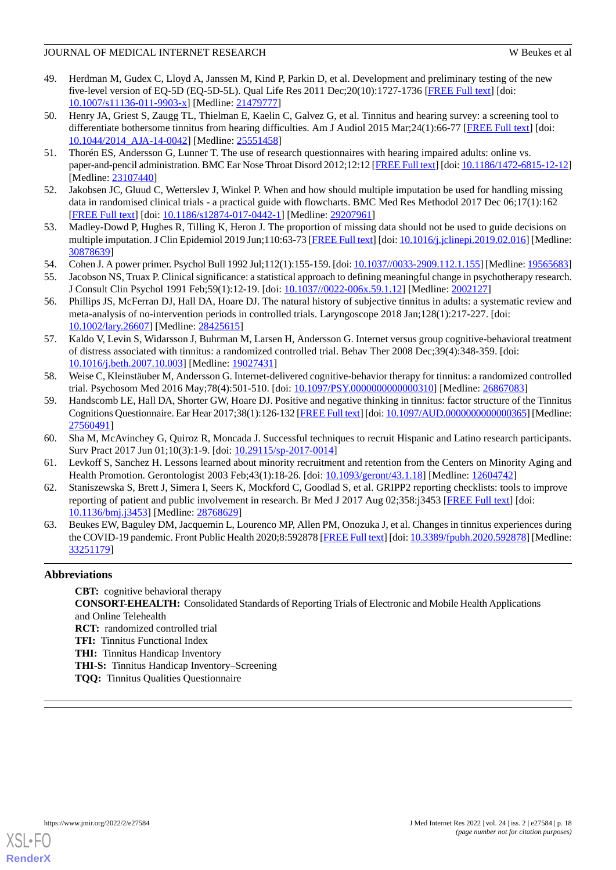- <span id="page-17-0"></span>49. Herdman M, Gudex C, Lloyd A, Janssen M, Kind P, Parkin D, et al. Development and preliminary testing of the new five-level version of EQ-5D (EQ-5D-5L). Qual Life Res 2011 Dec;20(10):1727-1736 [[FREE Full text](http://europepmc.org/abstract/MED/21479777)] [doi: [10.1007/s11136-011-9903-x\]](http://dx.doi.org/10.1007/s11136-011-9903-x) [Medline: [21479777](http://www.ncbi.nlm.nih.gov/entrez/query.fcgi?cmd=Retrieve&db=PubMed&list_uids=21479777&dopt=Abstract)]
- <span id="page-17-1"></span>50. Henry JA, Griest S, Zaugg TL, Thielman E, Kaelin C, Galvez G, et al. Tinnitus and hearing survey: a screening tool to differentiate bothersome tinnitus from hearing difficulties. Am J Audiol 2015 Mar;24(1):66-77 [\[FREE Full text\]](http://europepmc.org/abstract/MED/25551458) [doi: [10.1044/2014\\_AJA-14-0042](http://dx.doi.org/10.1044/2014_AJA-14-0042)] [Medline: [25551458\]](http://www.ncbi.nlm.nih.gov/entrez/query.fcgi?cmd=Retrieve&db=PubMed&list_uids=25551458&dopt=Abstract)
- <span id="page-17-3"></span><span id="page-17-2"></span>51. Thorén ES, Andersson G, Lunner T. The use of research questionnaires with hearing impaired adults: online vs. paper-and-pencil administration. BMC Ear Nose Throat Disord 2012;12:12 [[FREE Full text\]](http://bmcearnosethroatdisord.biomedcentral.com/articles/10.1186/1472-6815-12-12) [doi: [10.1186/1472-6815-12-12\]](http://dx.doi.org/10.1186/1472-6815-12-12) [Medline: [23107440](http://www.ncbi.nlm.nih.gov/entrez/query.fcgi?cmd=Retrieve&db=PubMed&list_uids=23107440&dopt=Abstract)]
- <span id="page-17-4"></span>52. Jakobsen JC, Gluud C, Wetterslev J, Winkel P. When and how should multiple imputation be used for handling missing data in randomised clinical trials - a practical guide with flowcharts. BMC Med Res Methodol 2017 Dec 06;17(1):162 [[FREE Full text](https://bmcmedresmethodol.biomedcentral.com/articles/10.1186/s12874-017-0442-1)] [doi: [10.1186/s12874-017-0442-1\]](http://dx.doi.org/10.1186/s12874-017-0442-1) [Medline: [29207961](http://www.ncbi.nlm.nih.gov/entrez/query.fcgi?cmd=Retrieve&db=PubMed&list_uids=29207961&dopt=Abstract)]
- <span id="page-17-5"></span>53. Madley-Dowd P, Hughes R, Tilling K, Heron J. The proportion of missing data should not be used to guide decisions on multiple imputation. J Clin Epidemiol 2019 Jun;110:63-73 [[FREE Full text](https://linkinghub.elsevier.com/retrieve/pii/S0895-4356(18)30871-0)] [doi: [10.1016/j.jclinepi.2019.02.016](http://dx.doi.org/10.1016/j.jclinepi.2019.02.016)] [Medline: [30878639](http://www.ncbi.nlm.nih.gov/entrez/query.fcgi?cmd=Retrieve&db=PubMed&list_uids=30878639&dopt=Abstract)]
- <span id="page-17-6"></span>54. Cohen J. A power primer. Psychol Bull 1992 Jul;112(1):155-159. [doi:  $\underline{10.1037//0033-2909.112.1.155}$ ] [Medline: [19565683\]](http://www.ncbi.nlm.nih.gov/entrez/query.fcgi?cmd=Retrieve&db=PubMed&list_uids=19565683&dopt=Abstract)
- <span id="page-17-7"></span>55. Jacobson NS, Truax P. Clinical significance: a statistical approach to defining meaningful change in psychotherapy research. J Consult Clin Psychol 1991 Feb;59(1):12-19. [doi: [10.1037//0022-006x.59.1.12\]](http://dx.doi.org/10.1037//0022-006x.59.1.12) [Medline: [2002127\]](http://www.ncbi.nlm.nih.gov/entrez/query.fcgi?cmd=Retrieve&db=PubMed&list_uids=2002127&dopt=Abstract)
- <span id="page-17-8"></span>56. Phillips JS, McFerran DJ, Hall DA, Hoare DJ. The natural history of subjective tinnitus in adults: a systematic review and meta-analysis of no-intervention periods in controlled trials. Laryngoscope 2018 Jan;128(1):217-227. [doi: [10.1002/lary.26607](http://dx.doi.org/10.1002/lary.26607)] [Medline: [28425615\]](http://www.ncbi.nlm.nih.gov/entrez/query.fcgi?cmd=Retrieve&db=PubMed&list_uids=28425615&dopt=Abstract)
- <span id="page-17-9"></span>57. Kaldo V, Levin S, Widarsson J, Buhrman M, Larsen H, Andersson G. Internet versus group cognitive-behavioral treatment of distress associated with tinnitus: a randomized controlled trial. Behav Ther 2008 Dec;39(4):348-359. [doi: [10.1016/j.beth.2007.10.003\]](http://dx.doi.org/10.1016/j.beth.2007.10.003) [Medline: [19027431\]](http://www.ncbi.nlm.nih.gov/entrez/query.fcgi?cmd=Retrieve&db=PubMed&list_uids=19027431&dopt=Abstract)
- <span id="page-17-10"></span>58. Weise C, Kleinstäuber M, Andersson G. Internet-delivered cognitive-behavior therapy for tinnitus: a randomized controlled trial. Psychosom Med 2016 May;78(4):501-510. [doi: [10.1097/PSY.0000000000000310](http://dx.doi.org/10.1097/PSY.0000000000000310)] [Medline: [26867083\]](http://www.ncbi.nlm.nih.gov/entrez/query.fcgi?cmd=Retrieve&db=PubMed&list_uids=26867083&dopt=Abstract)
- <span id="page-17-12"></span><span id="page-17-11"></span>59. Handscomb LE, Hall DA, Shorter GW, Hoare DJ. Positive and negative thinking in tinnitus: factor structure of the Tinnitus Cognitions Questionnaire. Ear Hear 2017;38(1):126-132 [\[FREE Full text\]](http://europepmc.org/abstract/MED/27560491) [doi: [10.1097/AUD.0000000000000365](http://dx.doi.org/10.1097/AUD.0000000000000365)] [Medline: [27560491](http://www.ncbi.nlm.nih.gov/entrez/query.fcgi?cmd=Retrieve&db=PubMed&list_uids=27560491&dopt=Abstract)]
- <span id="page-17-13"></span>60. Sha M, McAvinchey G, Quiroz R, Moncada J. Successful techniques to recruit Hispanic and Latino research participants. Surv Pract 2017 Jun 01;10(3):1-9. [doi: [10.29115/sp-2017-0014\]](http://dx.doi.org/10.29115/sp-2017-0014)
- <span id="page-17-14"></span>61. Levkoff S, Sanchez H. Lessons learned about minority recruitment and retention from the Centers on Minority Aging and Health Promotion. Gerontologist 2003 Feb;43(1):18-26. [doi: [10.1093/geront/43.1.18](http://dx.doi.org/10.1093/geront/43.1.18)] [Medline: [12604742](http://www.ncbi.nlm.nih.gov/entrez/query.fcgi?cmd=Retrieve&db=PubMed&list_uids=12604742&dopt=Abstract)]
- 62. Staniszewska S, Brett J, Simera I, Seers K, Mockford C, Goodlad S, et al. GRIPP2 reporting checklists: tools to improve reporting of patient and public involvement in research. Br Med J 2017 Aug 02;358:j3453 [\[FREE Full text](http://www.bmj.com/cgi/pmidlookup?view=long&pmid=28768629)] [doi: [10.1136/bmj.j3453\]](http://dx.doi.org/10.1136/bmj.j3453) [Medline: [28768629](http://www.ncbi.nlm.nih.gov/entrez/query.fcgi?cmd=Retrieve&db=PubMed&list_uids=28768629&dopt=Abstract)]
- 63. Beukes EW, Baguley DM, Jacquemin L, Lourenco MP, Allen PM, Onozuka J, et al. Changes in tinnitus experiences during the COVID-19 pandemic. Front Public Health 2020;8:592878 [\[FREE Full text](https://doi.org/10.3389/fpubh.2020.592878)] [doi: [10.3389/fpubh.2020.592878\]](http://dx.doi.org/10.3389/fpubh.2020.592878) [Medline: [33251179](http://www.ncbi.nlm.nih.gov/entrez/query.fcgi?cmd=Retrieve&db=PubMed&list_uids=33251179&dopt=Abstract)]

# **Abbreviations**

**CBT:** cognitive behavioral therapy **CONSORT-EHEALTH:** Consolidated Standards of Reporting Trials of Electronic and Mobile Health Applications and Online Telehealth **RCT:** randomized controlled trial **TFI:** Tinnitus Functional Index **THI:** Tinnitus Handicap Inventory **THI-S:** Tinnitus Handicap Inventory–Screening **TQQ:** Tinnitus Qualities Questionnaire